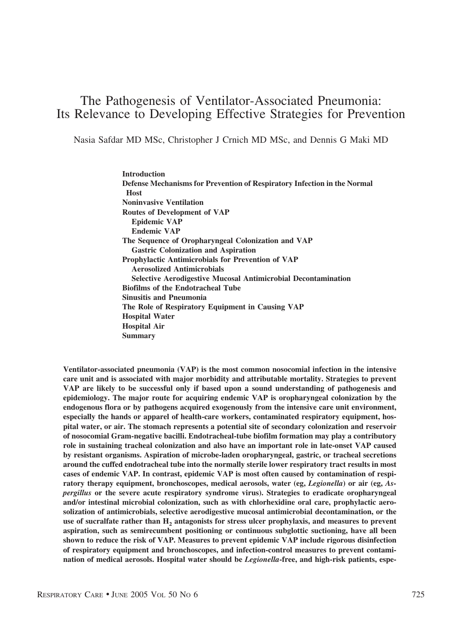# The Pathogenesis of Ventilator-Associated Pneumonia: Its Relevance to Developing Effective Strategies for Prevention

Nasia Safdar MD MSc, Christopher J Crnich MD MSc, and Dennis G Maki MD

**Introduction Defense Mechanisms for Prevention of Respiratory Infection in the Normal Host Noninvasive Ventilation Routes of Development of VAP Epidemic VAP Endemic VAP The Sequence of Oropharyngeal Colonization and VAP Gastric Colonization and Aspiration Prophylactic Antimicrobials for Prevention of VAP Aerosolized Antimicrobials Selective Aerodigestive Mucosal Antimicrobial Decontamination Biofilms of the Endotracheal Tube Sinusitis and Pneumonia The Role of Respiratory Equipment in Causing VAP Hospital Water Hospital Air Summary**

**Ventilator-associated pneumonia (VAP) is the most common nosocomial infection in the intensive care unit and is associated with major morbidity and attributable mortality. Strategies to prevent VAP are likely to be successful only if based upon a sound understanding of pathogenesis and epidemiology. The major route for acquiring endemic VAP is oropharyngeal colonization by the endogenous flora or by pathogens acquired exogenously from the intensive care unit environment, especially the hands or apparel of health-care workers, contaminated respiratory equipment, hospital water, or air. The stomach represents a potential site of secondary colonization and reservoir of nosocomial Gram-negative bacilli. Endotracheal-tube biofilm formation may play a contributory role in sustaining tracheal colonization and also have an important role in late-onset VAP caused by resistant organisms. Aspiration of microbe-laden oropharyngeal, gastric, or tracheal secretions around the cuffed endotracheal tube into the normally sterile lower respiratory tract results in most cases of endemic VAP. In contrast, epidemic VAP is most often caused by contamination of respiratory therapy equipment, bronchoscopes, medical aerosols, water (eg,** *Legionella***) or air (eg,** *Aspergillus* **or the severe acute respiratory syndrome virus). Strategies to eradicate oropharyngeal and/or intestinal microbial colonization, such as with chlorhexidine oral care, prophylactic aerosolization of antimicrobials, selective aerodigestive mucosal antimicrobial decontamination, or the** use of sucralfate rather than H<sub>2</sub> antagonists for stress ulcer prophylaxis, and measures to prevent **aspiration, such as semirecumbent positioning or continuous subglottic suctioning, have all been shown to reduce the risk of VAP. Measures to prevent epidemic VAP include rigorous disinfection of respiratory equipment and bronchoscopes, and infection-control measures to prevent contamination of medical aerosols. Hospital water should be** *Legionella***-free, and high-risk patients, espe-**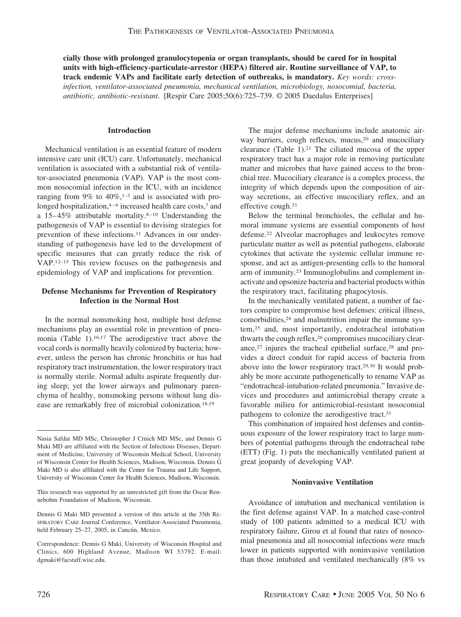**cially those with prolonged granulocytopenia or organ transplants, should be cared for in hospital units with high-efficiency-particulate-arrestor (HEPA) filtered air. Routine surveillance of VAP, to track endemic VAPs and facilitate early detection of outbreaks, is mandatory.** *Key words: crossinfection, ventilator-associated pneumonia, mechanical ventilation, microbiology, nosocomial, bacteria, antibiotic, antibiotic-resistant*. [Respir Care 2005;50(6):725–739. © 2005 Daedalus Enterprises]

## **Introduction**

Mechanical ventilation is an essential feature of modern intensive care unit (ICU) care. Unfortunately, mechanical ventilation is associated with a substantial risk of ventilator-associated pneumonia (VAP). VAP is the most common nosocomial infection in the ICU, with an incidence ranging from  $9\%$  to  $40\%,$ <sup>1-3</sup> and is associated with prolonged hospitalization,<sup>4-6</sup> increased health care costs,<sup>7</sup> and a  $15-45\%$  attributable mortality.<sup>8-10</sup> Understanding the pathogenesis of VAP is essential to devising strategies for prevention of these infections.11 Advances in our understanding of pathogenesis have led to the development of specific measures that can greatly reduce the risk of VAP.12–15 This review focuses on the pathogenesis and epidemiology of VAP and implications for prevention.

# **Defense Mechanisms for Prevention of Respiratory Infection in the Normal Host**

In the normal nonsmoking host, multiple host defense mechanisms play an essential role in prevention of pneumonia (Table 1).16,17 The aerodigestive tract above the vocal cords is normally heavily colonized by bacteria; however, unless the person has chronic bronchitis or has had respiratory tract instrumentation, the lower respiratory tract is normally sterile. Normal adults aspirate frequently during sleep; yet the lower airways and pulmonary parenchyma of healthy, nonsmoking persons without lung disease are remarkably free of microbial colonization.18,19

The major defense mechanisms include anatomic airway barriers, cough reflexes, mucus,<sup>20</sup> and mucociliary clearance (Table 1).21 The ciliated mucosa of the upper respiratory tract has a major role in removing particulate matter and microbes that have gained access to the bronchial tree. Mucociliary clearance is a complex process, the integrity of which depends upon the composition of airway secretions, an effective mucociliary reflex, and an effective cough.21

Below the terminal bronchioles, the cellular and humoral immune systems are essential components of host defense.22 Alveolar macrophages and leukocytes remove particulate matter as well as potential pathogens, elaborate cytokines that activate the systemic cellular immune response, and act as antigen-presenting cells to the humoral arm of immunity.23 Immunoglobulins and complement inactivate and opsonize bacteria and bacterial products within the respiratory tract, facilitating phagocytosis.

In the mechanically ventilated patient, a number of factors conspire to compromise host defenses: critical illness, comorbidities,24 and malnutrition impair the immune system,25 and, most importantly, endotracheal intubation thwarts the cough reflex,26 compromises mucociliary clearance,<sup>27</sup> injures the tracheal epithelial surface,<sup>28</sup> and provides a direct conduit for rapid access of bacteria from above into the lower respiratory tract.29,30 It would probably be more accurate pathogenetically to rename VAP as "endotracheal-intubation-related pneumonia." Invasive devices and procedures and antimicrobial therapy create a favorable milieu for antimicrobial-resistant nosocomial pathogens to colonize the aerodigestive tract.31

This combination of impaired host defenses and continuous exposure of the lower respiratory tract to large numbers of potential pathogens through the endotracheal tube (ETT) (Fig. 1) puts the mechanically ventilated patient at great jeopardy of developing VAP.

# **Noninvasive Ventilation**

Avoidance of intubation and mechanical ventilation is the first defense against VAP. In a matched case-control study of 100 patients admitted to a medical ICU with respiratory failure, Girou et al found that rates of nosocomial pneumonia and all nosocomial infections were much lower in patients supported with noninvasive ventilation than those intubated and ventilated mechanically (8% vs

Nasia Safdar MD MSc, Christopher J Crnich MD MSc, and Dennis G Maki MD are affiliated with the Section of Infectious Diseases, Department of Medicine, University of Wisconsin Medical School, University of Wisconsin Center for Health Sciences, Madison, Wisconsin. Dennis G Maki MD is also affiliated with the Center for Trauma and Life Support, University of Wisconsin Center for Health Sciences, Madison, Wisconsin.

This research was supported by an unrestricted gift from the Oscar Rennebohm Foundation of Madison, Wisconsin.

Dennis G Maki MD presented a version of this article at the 35th RE-SPIRATORY CARE Journal Conference, Ventilator-Associated Pneumonia, held February 25-27, 2005, in Cancún, Mexico.

Correspondence: Dennis G Maki, University of Wisconsin Hospital and Clinics, 600 Highland Avenue, Madison WI 53792. E-mail: dgmaki@facstaff.wisc.edu.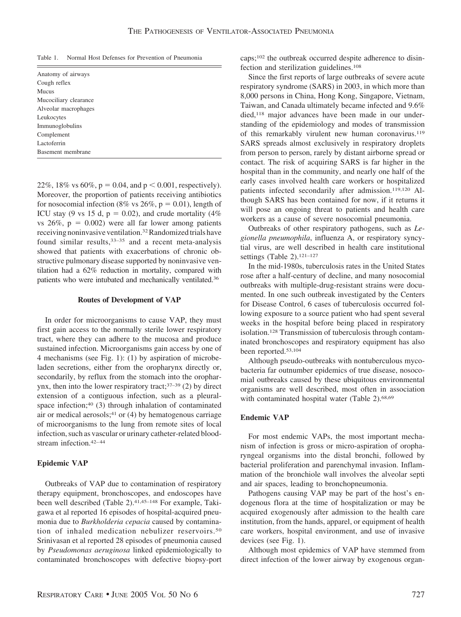| Table 1. |  |  |  |  | Normal Host Defenses for Prevention of Pneumonia |  |  |
|----------|--|--|--|--|--------------------------------------------------|--|--|
|----------|--|--|--|--|--------------------------------------------------|--|--|

| Anatomy of airways    |  |
|-----------------------|--|
| Cough reflex          |  |
| Mucus                 |  |
| Mucociliary clearance |  |
| Alveolar macrophages  |  |
| Leukocytes            |  |
| Immunoglobulins       |  |
| Complement            |  |
| Lactoferrin           |  |
| Basement membrane     |  |
|                       |  |

22%, 18% vs 60%,  $p = 0.04$ , and  $p < 0.001$ , respectively). Moreover, the proportion of patients receiving antibiotics for nosocomial infection (8% vs 26%,  $p = 0.01$ ), length of ICU stay (9 vs 15 d,  $p = 0.02$ ), and crude mortality (4%) vs  $26\%$ ,  $p = 0.002$ ) were all far lower among patients receiving noninvasive ventilation.<sup>32</sup> Randomized trials have found similar results,  $33-35$  and a recent meta-analysis showed that patients with exacerbations of chronic obstructive pulmonary disease supported by noninvasive ventilation had a 62% reduction in mortality, compared with patients who were intubated and mechanically ventilated.36

#### **Routes of Development of VAP**

In order for microorganisms to cause VAP, they must first gain access to the normally sterile lower respiratory tract, where they can adhere to the mucosa and produce sustained infection. Microorganisms gain access by one of 4 mechanisms (see Fig. 1): (1) by aspiration of microbeladen secretions, either from the oropharynx directly or, secondarily, by reflux from the stomach into the oropharynx, then into the lower respiratory tract;37–39 (2) by direct extension of a contiguous infection, such as a pleuralspace infection;<sup>40</sup> (3) through inhalation of contaminated air or medical aerosols;<sup>41</sup> or  $(4)$  by hematogenous carriage of microorganisms to the lung from remote sites of local infection, such as vascular or urinary catheter-related bloodstream infection.<sup>42-44</sup>

# **Epidemic VAP**

Outbreaks of VAP due to contamination of respiratory therapy equipment, bronchoscopes, and endoscopes have been well described (Table 2).<sup>41,45–148</sup> For example, Takigawa et al reported 16 episodes of hospital-acquired pneumonia due to *Burkholderia cepacia* caused by contamination of inhaled medication nebulizer reservoirs.50 Srinivasan et al reported 28 episodes of pneumonia caused by *Pseudomonas aeruginosa* linked epidemiologically to contaminated bronchoscopes with defective biopsy-port caps;102 the outbreak occurred despite adherence to disinfection and sterilization guidelines.108

Since the first reports of large outbreaks of severe acute respiratory syndrome (SARS) in 2003, in which more than 8,000 persons in China, Hong Kong, Singapore, Vietnam, Taiwan, and Canada ultimately became infected and 9.6% died,118 major advances have been made in our understanding of the epidemiology and modes of transmission of this remarkably virulent new human coronavirus.119 SARS spreads almost exclusively in respiratory droplets from person to person, rarely by distant airborne spread or contact. The risk of acquiring SARS is far higher in the hospital than in the community, and nearly one half of the early cases involved health care workers or hospitalized patients infected secondarily after admission.119,120 Although SARS has been contained for now, if it returns it will pose an ongoing threat to patients and health care workers as a cause of severe nosocomial pneumonia.

Outbreaks of other respiratory pathogens, such as *Legionella pneumophila*, influenza A, or respiratory syncytial virus, are well described in health care institutional settings (Table 2).121–127

In the mid-1980s, tuberculosis rates in the United States rose after a half-century of decline, and many nosocomial outbreaks with multiple-drug-resistant strains were documented. In one such outbreak investigated by the Centers for Disease Control, 6 cases of tuberculosis occurred following exposure to a source patient who had spent several weeks in the hospital before being placed in respiratory isolation.128 Transmission of tuberculosis through contaminated bronchoscopes and respiratory equipment has also been reported.53,104

Although pseudo-outbreaks with nontuberculous mycobacteria far outnumber epidemics of true disease, nosocomial outbreaks caused by these ubiquitous environmental organisms are well described, most often in association with contaminated hospital water (Table 2).<sup>68,69</sup>

#### **Endemic VAP**

For most endemic VAPs, the most important mechanism of infection is gross or micro-aspiration of oropharyngeal organisms into the distal bronchi, followed by bacterial proliferation and parenchymal invasion. Inflammation of the bronchiole wall involves the alveolar septi and air spaces, leading to bronchopneumonia.

Pathogens causing VAP may be part of the host's endogenous flora at the time of hospitalization or may be acquired exogenously after admission to the health care institution, from the hands, apparel, or equipment of health care workers, hospital environment, and use of invasive devices (see Fig. 1).

Although most epidemics of VAP have stemmed from direct infection of the lower airway by exogenous organ-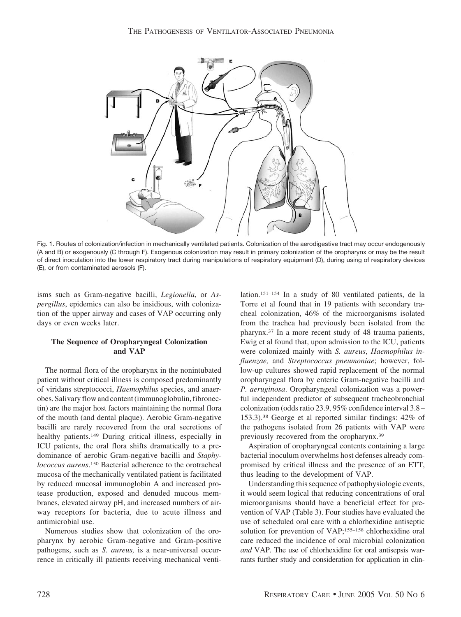

Fig. 1. Routes of colonization/infection in mechanically ventilated patients. Colonization of the aerodigestive tract may occur endogenously (A and B) or exogenously (C through F). Exogenous colonization may result in primary colonization of the oropharynx or may be the result of direct inoculation into the lower respiratory tract during manipulations of respiratory equipment (D), during using of respiratory devices (E), or from contaminated aerosols (F).

isms such as Gram-negative bacilli, *Legionella*, or *Aspergillus*, epidemics can also be insidious, with colonization of the upper airway and cases of VAP occurring only days or even weeks later.

# **The Sequence of Oropharyngeal Colonization and VAP**

The normal flora of the oropharynx in the nonintubated patient without critical illness is composed predominantly of viridans streptococci, *Haemophilus* species, and anaerobes. Salivary flow and content (immunoglobulin, fibronectin) are the major host factors maintaining the normal flora of the mouth (and dental plaque). Aerobic Gram-negative bacilli are rarely recovered from the oral secretions of healthy patients.<sup>149</sup> During critical illness, especially in ICU patients, the oral flora shifts dramatically to a predominance of aerobic Gram-negative bacilli and *Staphylococcus aureus*. <sup>150</sup> Bacterial adherence to the orotracheal mucosa of the mechanically ventilated patient is facilitated by reduced mucosal immunoglobin A and increased protease production, exposed and denuded mucous membranes, elevated airway pH, and increased numbers of airway receptors for bacteria, due to acute illness and antimicrobial use.

Numerous studies show that colonization of the oropharynx by aerobic Gram-negative and Gram-positive pathogens, such as *S. aureus,* is a near-universal occurrence in critically ill patients receiving mechanical ventilation.151–154 In a study of 80 ventilated patients, de la Torre et al found that in 19 patients with secondary tracheal colonization, 46% of the microorganisms isolated from the trachea had previously been isolated from the pharynx.37 In a more recent study of 48 trauma patients, Ewig et al found that, upon admission to the ICU, patients were colonized mainly with *S. aureus*, *Haemophilus influenzae,* and *Streptococcus pneumoniae*; however, follow-up cultures showed rapid replacement of the normal oropharyngeal flora by enteric Gram-negative bacilli and *P. aeruginosa*. Oropharyngeal colonization was a powerful independent predictor of subsequent tracheobronchial colonization (odds ratio 23.9, 95% confidence interval 3.8 – 153.3).38 George et al reported similar findings: 42% of the pathogens isolated from 26 patients with VAP were previously recovered from the oropharynx.39

Aspiration of oropharyngeal contents containing a large bacterial inoculum overwhelms host defenses already compromised by critical illness and the presence of an ETT, thus leading to the development of VAP.

Understanding this sequence of pathophysiologic events, it would seem logical that reducing concentrations of oral microorganisms should have a beneficial effect for prevention of VAP (Table 3). Four studies have evaluated the use of scheduled oral care with a chlorhexidine antiseptic solution for prevention of VAP;155–158 chlorhexidine oral care reduced the incidence of oral microbial colonization *and* VAP. The use of chlorhexidine for oral antisepsis warrants further study and consideration for application in clin-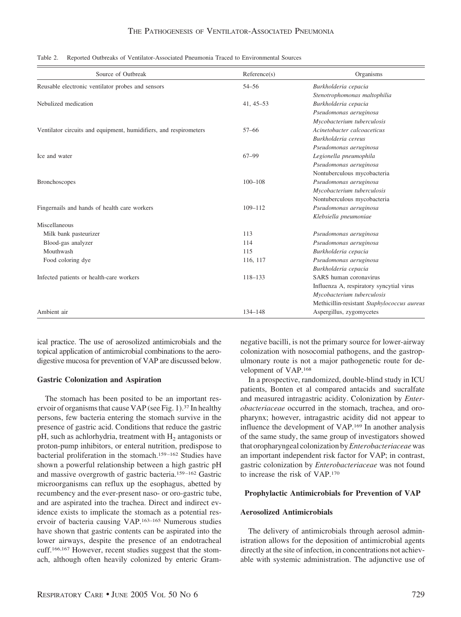| Source of Outbreak                                                | Reference(s)  | Organisms                                   |
|-------------------------------------------------------------------|---------------|---------------------------------------------|
| Reusable electronic ventilator probes and sensors                 | $54 - 56$     | Burkholderia cepacia                        |
|                                                                   |               | Stenotrophomonas maltophilia                |
| Nebulized medication                                              | $41, 45 - 53$ | Burkholderia cepacia                        |
|                                                                   |               | Pseudomonas aeruginosa                      |
|                                                                   |               | Mycobacterium tuberculosis                  |
| Ventilator circuits and equipment, humidifiers, and respirometers | $57 - 66$     | Acinetobacter calcoaceticus                 |
|                                                                   |               | Burkholderia cereus                         |
|                                                                   |               | Pseudomonas aeruginosa                      |
| Ice and water                                                     | $67 - 99$     | Legionella pneumophila                      |
|                                                                   |               | Pseudomonas aeruginosa                      |
|                                                                   |               | Nontuberculous mycobacteria                 |
| <b>Bronchoscopes</b>                                              | $100 - 108$   | Pseudomonas aeruginosa                      |
|                                                                   |               | Mycobacterium tuberculosis                  |
|                                                                   |               | Nontuberculous mycobacteria                 |
| Fingernails and hands of health care workers                      | $109 - 112$   | Pseudomonas aeruginosa                      |
|                                                                   |               | Klebsiella pneumoniae                       |
| Miscellaneous                                                     |               |                                             |
| Milk bank pasteurizer                                             | 113           | Pseudomonas aeruginosa                      |
| Blood-gas analyzer                                                | 114           | Pseudomonas aeruginosa                      |
| Mouthwash                                                         | 115           | Burkholderia cepacia                        |
| Food coloring dye                                                 | 116, 117      | Pseudomonas aeruginosa                      |
|                                                                   |               | Burkholderia cepacia                        |
| Infected patients or health-care workers                          | 118-133       | SARS human coronavirus                      |
|                                                                   |               | Influenza A, respiratory syncytial virus    |
|                                                                   |               | Mycobacterium tuberculosis                  |
|                                                                   |               | Methicillin-resistant Staphylococcus aureus |
| Ambient air                                                       | 134-148       | Aspergillus, zygomycetes                    |

Table 2. Reported Outbreaks of Ventilator-Associated Pneumonia Traced to Environmental Sources

ical practice. The use of aerosolized antimicrobials and the topical application of antimicrobial combinations to the aerodigestive mucosa for prevention of VAP are discussed below.

## **Gastric Colonization and Aspiration**

The stomach has been posited to be an important reservoir of organisms that cause VAP (see Fig. 1).37 In healthy persons, few bacteria entering the stomach survive in the presence of gastric acid. Conditions that reduce the gastric pH, such as achlorhydria, treatment with  $H<sub>2</sub>$  antagonists or proton-pump inhibitors, or enteral nutrition, predispose to bacterial proliferation in the stomach.<sup>159-162</sup> Studies have shown a powerful relationship between a high gastric pH and massive overgrowth of gastric bacteria.159 –162 Gastric microorganisms can reflux up the esophagus, abetted by recumbency and the ever-present naso- or oro-gastric tube, and are aspirated into the trachea. Direct and indirect evidence exists to implicate the stomach as a potential reservoir of bacteria causing VAP.163–165 Numerous studies have shown that gastric contents can be aspirated into the lower airways, despite the presence of an endotracheal cuff.166,167 However, recent studies suggest that the stomach, although often heavily colonized by enteric Gramnegative bacilli, is not the primary source for lower-airway colonization with nosocomial pathogens, and the gastropulmonary route is not a major pathogenetic route for development of VAP.168

In a prospective, randomized, double-blind study in ICU patients, Bonten et al compared antacids and sucralfate and measured intragastric acidity. Colonization by *Enterobacteriaceae* occurred in the stomach, trachea, and oropharynx; however, intragastric acidity did not appear to influence the development of VAP.169 In another analysis of the same study, the same group of investigators showed that oropharyngeal colonization by*Enterobacteriaceae* was an important independent risk factor for VAP; in contrast, gastric colonization by *Enterobacteriaceae* was not found to increase the risk of VAP.170

# **Prophylactic Antimicrobials for Prevention of VAP**

## **Aerosolized Antimicrobials**

The delivery of antimicrobials through aerosol administration allows for the deposition of antimicrobial agents directly at the site of infection, in concentrations not achievable with systemic administration. The adjunctive use of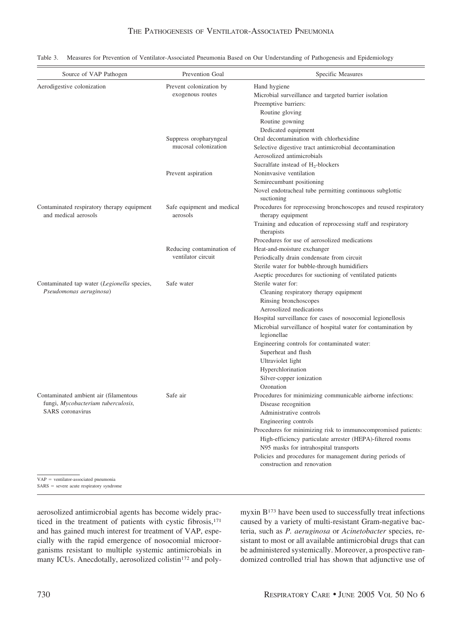| Source of VAP Pathogen                                             | Prevention Goal                        | Specific Measures                                                                       |  |  |
|--------------------------------------------------------------------|----------------------------------------|-----------------------------------------------------------------------------------------|--|--|
| Aerodigestive colonization                                         | Prevent colonization by                | Hand hygiene                                                                            |  |  |
|                                                                    | exogenous routes                       | Microbial surveillance and targeted barrier isolation                                   |  |  |
|                                                                    |                                        | Preemptive barriers:                                                                    |  |  |
|                                                                    |                                        | Routine gloving                                                                         |  |  |
|                                                                    |                                        | Routine gowning                                                                         |  |  |
|                                                                    |                                        | Dedicated equipment                                                                     |  |  |
|                                                                    | Suppress oropharyngeal                 | Oral decontamination with chlorhexidine                                                 |  |  |
|                                                                    | mucosal colonization                   | Selective digestive tract antimicrobial decontamination                                 |  |  |
|                                                                    |                                        | Aerosolized antimicrobials                                                              |  |  |
|                                                                    |                                        | Sucralfate instead of H <sub>2</sub> -blockers                                          |  |  |
|                                                                    | Prevent aspiration                     | Noninvasive ventilation                                                                 |  |  |
|                                                                    |                                        | Semirecumbant positioning                                                               |  |  |
|                                                                    |                                        | Novel endotracheal tube permitting continuous subglottic<br>suctioning                  |  |  |
| Contaminated respiratory therapy equipment<br>and medical aerosols | Safe equipment and medical<br>aerosols | Procedures for reprocessing bronchoscopes and reused respiratory<br>therapy equipment   |  |  |
|                                                                    |                                        | Training and education of reprocessing staff and respiratory<br>therapists              |  |  |
|                                                                    |                                        | Procedures for use of aerosolized medications                                           |  |  |
|                                                                    | Reducing contamination of              | Heat-and-moisture exchanger                                                             |  |  |
|                                                                    | ventilator circuit                     | Periodically drain condensate from circuit                                              |  |  |
|                                                                    |                                        | Sterile water for bubble-through humidifiers                                            |  |  |
|                                                                    |                                        | Aseptic procedures for suctioning of ventilated patients                                |  |  |
| Contaminated tap water (Legionella species,                        | Safe water                             | Sterile water for:                                                                      |  |  |
| Pseudomonas aeruginosa)                                            |                                        | Cleaning respiratory therapy equipment                                                  |  |  |
|                                                                    |                                        | Rinsing bronchoscopes                                                                   |  |  |
|                                                                    |                                        | Aerosolized medications                                                                 |  |  |
|                                                                    |                                        | Hospital surveillance for cases of nosocomial legionellosis                             |  |  |
|                                                                    |                                        | Microbial surveillance of hospital water for contamination by<br>legionellae            |  |  |
|                                                                    |                                        | Engineering controls for contaminated water:                                            |  |  |
|                                                                    |                                        | Superheat and flush                                                                     |  |  |
|                                                                    |                                        | Ultraviolet light                                                                       |  |  |
|                                                                    |                                        | Hyperchlorination                                                                       |  |  |
|                                                                    |                                        | Silver-copper ionization<br>Ozonation                                                   |  |  |
| Contaminated ambient air (filamentous                              | Safe air                               | Procedures for minimizing communicable airborne infections:                             |  |  |
| fungi, Mycobacterium tuberculosis,                                 |                                        | Disease recognition                                                                     |  |  |
| <b>SARS</b> coronavirus                                            |                                        | Administrative controls                                                                 |  |  |
|                                                                    |                                        | Engineering controls                                                                    |  |  |
|                                                                    |                                        | Procedures for minimizing risk to immunocompromised patients:                           |  |  |
|                                                                    |                                        | High-efficiency particulate arrester (HEPA)-filtered rooms                              |  |  |
|                                                                    |                                        | N95 masks for intrahospital transports                                                  |  |  |
|                                                                    |                                        | Policies and procedures for management during periods of<br>construction and renovation |  |  |
| $VAP = ventilator-associated pneumonia$                            |                                        |                                                                                         |  |  |

Table 3. Measures for Prevention of Ventilator-Associated Pneumonia Based on Our Understanding of Pathogenesis and Epidemiology

 $SARS = severe acute respiratory syndrome$ 

aerosolized antimicrobial agents has become widely practiced in the treatment of patients with cystic fibrosis,<sup>171</sup> and has gained much interest for treatment of VAP, especially with the rapid emergence of nosocomial microorganisms resistant to multiple systemic antimicrobials in many ICUs. Anecdotally, aerosolized colistin<sup>172</sup> and polymyxin B173 have been used to successfully treat infections caused by a variety of multi-resistant Gram-negative bacteria, such as *P. aeruginosa* or *Acinetobacter* species, resistant to most or all available antimicrobial drugs that can be administered systemically. Moreover, a prospective randomized controlled trial has shown that adjunctive use of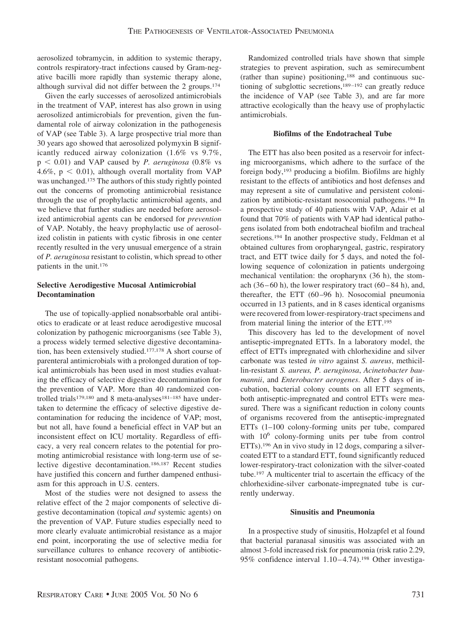aerosolized tobramycin, in addition to systemic therapy, controls respiratory-tract infections caused by Gram-negative bacilli more rapidly than systemic therapy alone, although survival did not differ between the 2 groups.174

Given the early successes of aerosolized antimicrobials in the treatment of VAP, interest has also grown in using aerosolized antimicrobials for prevention, given the fundamental role of airway colonization in the pathogenesis of VAP (see Table 3). A large prospective trial more than 30 years ago showed that aerosolized polymyxin B significantly reduced airway colonization (1.6% vs 9.7%,  $p < 0.01$ ) and VAP caused by *P. aeruginosa* (0.8% vs 4.6%,  $p < 0.01$ ), although overall mortality from VAP was unchanged.175 The authors of this study rightly pointed out the concerns of promoting antimicrobial resistance through the use of prophylactic antimicrobial agents, and we believe that further studies are needed before aerosolized antimicrobial agents can be endorsed for *prevention* of VAP. Notably, the heavy prophylactic use of aerosolized colistin in patients with cystic fibrosis in one center recently resulted in the very unusual emergence of a strain of *P. aeruginosa* resistant to colistin, which spread to other patients in the unit.176

# **Selective Aerodigestive Mucosal Antimicrobial Decontamination**

The use of topically-applied nonabsorbable oral antibiotics to eradicate or at least reduce aerodigestive mucosal colonization by pathogenic microorganisms (see Table 3), a process widely termed selective digestive decontamination, has been extensively studied.177,178 A short course of parenteral antimicrobials with a prolonged duration of topical antimicrobials has been used in most studies evaluating the efficacy of selective digestive decontamination for the prevention of VAP. More than 40 randomized controlled trials<sup>179,180</sup> and 8 meta-analyses<sup>181–185</sup> have undertaken to determine the efficacy of selective digestive decontamination for reducing the incidence of VAP; most, but not all, have found a beneficial effect in VAP but an inconsistent effect on ICU mortality. Regardless of efficacy, a very real concern relates to the potential for promoting antimicrobial resistance with long-term use of selective digestive decontamination.186,187 Recent studies have justified this concern and further dampened enthusiasm for this approach in U.S. centers.

Most of the studies were not designed to assess the relative effect of the 2 major components of selective digestive decontamination (topical *and* systemic agents) on the prevention of VAP. Future studies especially need to more clearly evaluate antimicrobial resistance as a major end point, incorporating the use of selective media for surveillance cultures to enhance recovery of antibioticresistant nosocomial pathogens.

Randomized controlled trials have shown that simple strategies to prevent aspiration, such as semirecumbent (rather than supine) positioning,188 and continuous suctioning of subglottic secretions,<sup>189-192</sup> can greatly reduce the incidence of VAP (see Table 3), and are far more attractive ecologically than the heavy use of prophylactic antimicrobials.

# **Biofilms of the Endotracheal Tube**

The ETT has also been posited as a reservoir for infecting microorganisms, which adhere to the surface of the foreign body,193 producing a biofilm. Biofilms are highly resistant to the effects of antibiotics and host defenses and may represent a site of cumulative and persistent colonization by antibiotic-resistant nosocomial pathogens.194 In a prospective study of 40 patients with VAP, Adair et al found that 70% of patients with VAP had identical pathogens isolated from both endotracheal biofilm and tracheal secretions.194 In another prospective study, Feldman et al obtained cultures from oropharyngeal, gastric, respiratory tract, and ETT twice daily for 5 days, and noted the following sequence of colonization in patients undergoing mechanical ventilation: the oropharynx (36 h), the stomach (36–60 h), the lower respiratory tract (60–84 h), and, thereafter, the ETT (60-96 h). Nosocomial pneumonia occurred in 13 patients, and in 8 cases identical organisms were recovered from lower-respiratory-tract specimens and from material lining the interior of the ETT.195

This discovery has led to the development of novel antiseptic-impregnated ETTs. In a laboratory model, the effect of ETTs impregnated with chlorhexidine and silver carbonate was tested *in vitro* against *S. aureus*, methicillin-resistant *S. aureus, P. aeruginosa*, *Acinetobacter baumannii*, and *Enterobacter aerogenes*. After 5 days of incubation, bacterial colony counts on all ETT segments, both antiseptic-impregnated and control ETTs were measured. There was a significant reduction in colony counts of organisms recovered from the antiseptic-impregnated ETTs (1–100 colony-forming units per tube, compared with  $10^6$  colony-forming units per tube from control ETTs).196 An in vivo study in 12 dogs, comparing a silvercoated ETT to a standard ETT, found significantly reduced lower-respiratory-tract colonization with the silver-coated tube.197 A multicenter trial to ascertain the efficacy of the chlorhexidine-silver carbonate-impregnated tube is currently underway.

## **Sinusitis and Pneumonia**

In a prospective study of sinusitis, Holzapfel et al found that bacterial paranasal sinusitis was associated with an almost 3-fold increased risk for pneumonia (risk ratio 2.29, 95% confidence interval 1.10–4.74).<sup>198</sup> Other investiga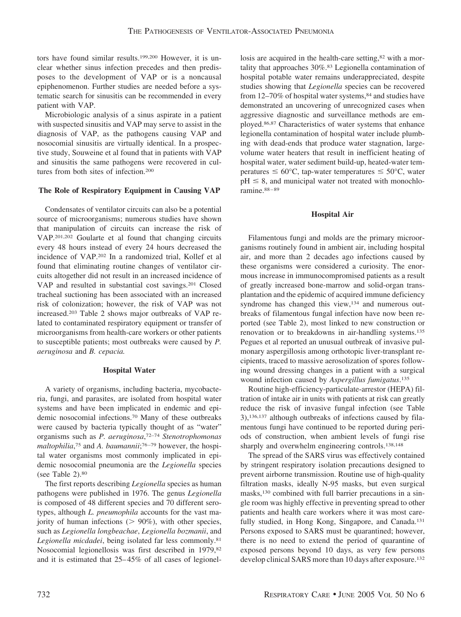tors have found similar results.199,200 However, it is unclear whether sinus infection precedes and then predisposes to the development of VAP or is a noncausal epiphenomenon. Further studies are needed before a systematic search for sinusitis can be recommended in every patient with VAP.

Microbiologic analysis of a sinus aspirate in a patient with suspected sinusitis and VAP may serve to assist in the diagnosis of VAP, as the pathogens causing VAP and nosocomial sinusitis are virtually identical. In a prospective study, Souweine et al found that in patients with VAP and sinusitis the same pathogens were recovered in cultures from both sites of infection.200

# **The Role of Respiratory Equipment in Causing VAP**

Condensates of ventilator circuits can also be a potential source of microorganisms; numerous studies have shown that manipulation of circuits can increase the risk of VAP.201,202 Goularte et al found that changing circuits every 48 hours instead of every 24 hours decreased the incidence of VAP.202 In a randomized trial, Kollef et al found that eliminating routine changes of ventilator circuits altogether did not result in an increased incidence of VAP and resulted in substantial cost savings.201 Closed tracheal suctioning has been associated with an increased risk of colonization; however, the risk of VAP was not increased.203 Table 2 shows major outbreaks of VAP related to contaminated respiratory equipment or transfer of microorganisms from health-care workers or other patients to susceptible patients; most outbreaks were caused by *P. aeruginosa* and *B. cepacia.*

# **Hospital Water**

A variety of organisms, including bacteria, mycobacteria, fungi, and parasites, are isolated from hospital water systems and have been implicated in endemic and epidemic nosocomial infections.70 Many of these outbreaks were caused by bacteria typically thought of as "water" organisms such as *P. aeruginosa*, 72–74 *Stenotrophomonas* maltophilia,<sup>75</sup> and A. baumannii;<sup>76–79</sup> however, the hospital water organisms most commonly implicated in epidemic nosocomial pneumonia are the *Legionella* species (see Table 2).80

The first reports describing *Legionella* species as human pathogens were published in 1976. The genus *Legionella* is composed of 48 different species and 70 different serotypes, although *L. pneumophila* accounts for the vast majority of human infections  $( > 90\%)$ , with other species, such as *Legionella longbeachae*, *Legionella bozmanii*, and *Legionella micdadei*, being isolated far less commonly.81 Nosocomial legionellosis was first described in 1979,82 and it is estimated that  $25-45\%$  of all cases of legionellosis are acquired in the health-care setting,<sup>82</sup> with a mortality that approaches 30%.83 Legionella contamination of hospital potable water remains underappreciated, despite studies showing that *Legionella* species can be recovered from 12–70% of hospital water systems,<sup>84</sup> and studies have demonstrated an uncovering of unrecognized cases when aggressive diagnostic and surveillance methods are employed.86,87 Characteristics of water systems that enhance legionella contamination of hospital water include plumbing with dead-ends that produce water stagnation, largevolume water heaters that result in inefficient heating of hospital water, water sediment build-up, heated-water temperatures  $\leq 60^{\circ}$ C, tap-water temperatures  $\leq 50^{\circ}$ C, water  $pH \leq 8$ , and municipal water not treated with monochloramine.88 – 89

# **Hospital Air**

Filamentous fungi and molds are the primary microorganisms routinely found in ambient air, including hospital air, and more than 2 decades ago infections caused by these organisms were considered a curiosity. The enormous increase in immunocompromised patients as a result of greatly increased bone-marrow and solid-organ transplantation and the epidemic of acquired immune deficiency syndrome has changed this view,134 and numerous outbreaks of filamentous fungal infection have now been reported (see Table 2), most linked to new construction or renovation or to breakdowns in air-handling systems.135 Pegues et al reported an unusual outbreak of invasive pulmonary aspergillosis among orthotopic liver-transplant recipients, traced to massive aerosolization of spores following wound dressing changes in a patient with a surgical wound infection caused by *Aspergillus fumigatus*. 135

Routine high-efficiency-particulate-arrestor (HEPA) filtration of intake air in units with patients at risk can greatly reduce the risk of invasive fungal infection (see Table 3),136,137 although outbreaks of infections caused by filamentous fungi have continued to be reported during periods of construction, when ambient levels of fungi rise sharply and overwhelm engineering controls.138,148

The spread of the SARS virus was effectively contained by stringent respiratory isolation precautions designed to prevent airborne transmission. Routine use of high-quality filtration masks, ideally N-95 masks, but even surgical masks,<sup>130</sup> combined with full barrier precautions in a single room was highly effective in preventing spread to other patients and health care workers where it was most carefully studied, in Hong Kong, Singapore, and Canada.<sup>131</sup> Persons exposed to SARS must be quarantined; however, there is no need to extend the period of quarantine of exposed persons beyond 10 days, as very few persons develop clinical SARS more than 10 days after exposure.<sup>132</sup>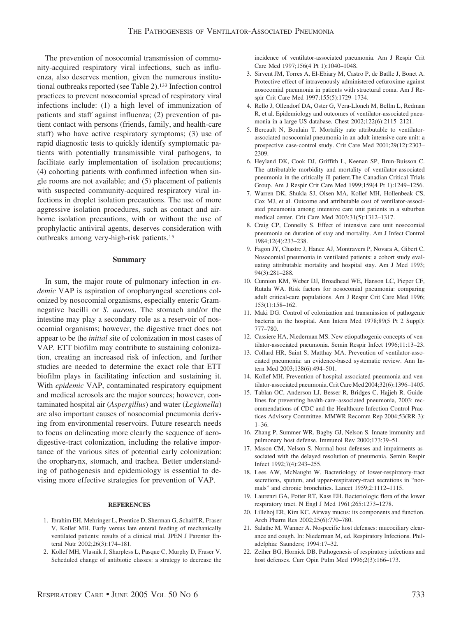The prevention of nosocomial transmission of community-acquired respiratory viral infections, such as influenza, also deserves mention, given the numerous institutional outbreaks reported (see Table 2).133 Infection control practices to prevent nosocomial spread of respiratory viral infections include: (1) a high level of immunization of patients and staff against influenza; (2) prevention of patient contact with persons (friends, family, and health-care staff) who have active respiratory symptoms; (3) use of rapid diagnostic tests to quickly identify symptomatic patients with potentially transmissible viral pathogens, to facilitate early implementation of isolation precautions; (4) cohorting patients with confirmed infection when single rooms are not available; and (5) placement of patients with suspected community-acquired respiratory viral infections in droplet isolation precautions. The use of more aggressive isolation procedures, such as contact and airborne isolation precautions, with or without the use of prophylactic antiviral agents, deserves consideration with outbreaks among very-high-risk patients.15

## **Summary**

In sum, the major route of pulmonary infection in *endemic* VAP is aspiration of oropharyngeal secretions colonized by nosocomial organisms, especially enteric Gramnegative bacilli or *S. aureus*. The stomach and/or the intestine may play a secondary role as a reservoir of nosocomial organisms; however, the digestive tract does not appear to be the *initial* site of colonization in most cases of VAP. ETT biofilm may contribute to sustaining colonization, creating an increased risk of infection, and further studies are needed to determine the exact role that ETT biofilm plays in facilitating infection and sustaining it. With *epidemic* VAP, contaminated respiratory equipment and medical aerosols are the major sources; however, contaminated hospital air (*Aspergillus*) and water (*Legionella*) are also important causes of nosocomial pneumonia deriving from environmental reservoirs. Future research needs to focus on delineating more clearly the sequence of aerodigestive-tract colonization, including the relative importance of the various sites of potential early colonization: the oropharynx, stomach, and trachea. Better understanding of pathogenesis and epidemiology is essential to devising more effective strategies for prevention of VAP.

#### **REFERENCES**

- 1. Ibrahim EH, Mehringer L, Prentice D, Sherman G, Schaiff R, Fraser V, Kollef MH. Early versus late enteral feeding of mechanically ventilated patients: results of a clinical trial. JPEN J Parenter Enteral Nutr 2002;26(3):174–181.
- 2. Kollef MH, Vlasnik J, Sharpless L, Pasque C, Murphy D, Fraser V. Scheduled change of antibiotic classes: a strategy to decrease the

incidence of ventilator-associated pneumonia. Am J Respir Crit Care Med 1997;156(4 Pt 1):1040–1048.

- 3. Sirvent JM, Torres A, El-Ebiary M, Castro P, de Batlle J, Bonet A. Protective effect of intravenously administered cefuroxime against nosocomial pneumonia in patients with structural coma. Am J Respir Crit Care Med 1997;155(5):1729–1734.
- 4. Rello J, Ollendorf DA, Oster G, Vera-Llonch M, Bellm L, Redman R, et al. Epidemiology and outcomes of ventilator-associated pneumonia in a large US database. Chest 2002;122(6):2115–2121.
- 5. Bercault N, Boulain T. Mortality rate attributable to ventilatorassociated nosocomial pneumonia in an adult intensive care unit: a prospective case-control study. Crit Care Med 2001;29(12):2303– 2309.
- 6. Heyland DK, Cook DJ, Griffith L, Keenan SP, Brun-Buisson C. The attributable morbidity and mortality of ventilator-associated pneumonia in the critically ill patient.The Canadian Critical Trials Group. Am J Respir Crit Care Med 1999;159(4 Pt 1):1249–1256.
- 7. Warren DK, Shukla SJ, Olsen MA, Kollef MH, Hollenbeak CS, Cox MJ, et al. Outcome and attributable cost of ventilator-associated pneumonia among intensive care unit patients in a suburban medical center. Crit Care Med 2003;31(5):1312–1317.
- 8. Craig CP, Connelly S. Effect of intensive care unit nosocomial pneumonia on duration of stay and mortality. Am J Infect Control 1984;12(4):233–238.
- 9. Fagon JY, Chastre J, Hance AJ, Montravers P, Novara A, Gibert C. Nosocomial pneumonia in ventilated patients: a cohort study evaluating attributable mortality and hospital stay. Am J Med 1993; 94(3):281–288.
- 10. Cunnion KM, Weber DJ, Broadhead WE, Hanson LC, Pieper CF, Rutala WA. Risk factors for nosocomial pneumonia: comparing adult critical-care populations. Am J Respir Crit Care Med 1996; 153(1):158–162.
- 11. Maki DG. Control of colonization and transmission of pathogenic bacteria in the hospital. Ann Intern Med 1978;89(5 Pt 2 Suppl): 777–780.
- 12. Cassiere HA, Niederman MS. New etiopathogenic concepts of ventilator-associated pneumonia. Semin Respir Infect 1996;11:13–23.
- 13. Collard HR, Saint S, Matthay MA. Prevention of ventilator-associated pneumonia: an evidence-based systematic review. Ann Intern Med 2003;138(6):494–501.
- 14. Kollef MH. Prevention of hospital-associated pneumonia and ventilator-associated pneumonia. Crit Care Med 2004;32(6):1396-1405.
- 15. Tablan OC, Anderson LJ, Besser R, Bridges C, Hajjeh R. Guidelines for preventing health-care–associated pneumonia, 2003: recommendations of CDC and the Healthcare Infection Control Practices Advisory Committee. MMWR Recomm Rep 2004;53(RR-3): 1–36.
- 16. Zhang P, Summer WR, Bagby GJ, Nelson S. Innate immunity and pulmonary host defense. Immunol Rev 2000;173:39–51.
- 17. Mason CM, Nelson S. Normal host defenses and impairments associated with the delayed resolution of pneumonia. Semin Respir Infect 1992;7(4):243–255.
- 18. Lees AW, McNaught W. Bacteriology of lower-respiratory-tract secretions, sputum, and upper-respiratory-tract secretions in "normals" and chronic bronchitics. Lancet 1959;2:1112–1115.
- 19. Laurenzi GA, Potter RT, Kass EH. Bacteriologic flora of the lower respiratory tract. N Engl J Med 1961;265:1273–1278.
- 20. Lillehoj ER, Kim KC. Airway mucus: its components and function. Arch Pharm Res 2002;25(6):770–780.
- 21. Salathe M, Wanner A. Nospecific host defenses: mucociliary clearance and cough. In: Niederman M, ed. Respiratory Infections. Philadelphia: Saunders; 1994:17–32.
- 22. Zeiher BG, Hornick DB. Pathogenesis of respiratory infections and host defenses. Curr Opin Pulm Med 1996;2(3):166–173.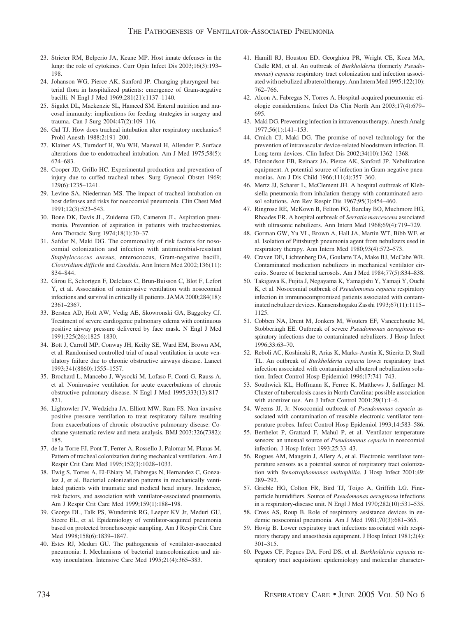- 23. Strieter RM, Belperio JA, Keane MP. Host innate defenses in the lung: the role of cytokines. Curr Opin Infect Dis 2003;16(3):193– 198.
- 24. Johanson WG, Pierce AK, Sanford JP. Changing pharyngeal bacterial flora in hospitalized patients: emergence of Gram-negative bacilli. N Engl J Med 1969;281(21):1137–1140.
- 25. Sigalet DL, Mackenzie SL, Hameed SM. Enteral nutrition and mucosal immunity: implications for feeding strategies in surgery and trauma. Can J Surg 2004;47(2):109–116.
- 26. Gal TJ. How does tracheal intubation alter respiratory mechanics? Probl Anesth 1988;2:191–200.
- 27. Klainer AS, Turndorf H, Wu WH, Maewal H, Allender P. Surface alterations due to endotracheal intubation. Am J Med 1975;58(5): 674–683.
- 28. Cooper JD, Grillo HC. Experimental production and prevention of injury due to cuffed tracheal tubes. Surg Gynecol Obstet 1969; 129(6):1235–1241.
- 29. Levine SA, Niederman MS. The impact of tracheal intubation on host defenses and risks for nosocomial pneumonia. Clin Chest Med 1991;12(3):523–543.
- 30. Bone DK, Davis JL, Zuidema GD, Cameron JL. Aspiration pneumonia. Prevention of aspiration in patients with tracheostomies. Ann Thoracic Surg 1974;18(1):30–37.
- 31. Safdar N, Maki DG. The commonality of risk factors for nosocomial colonization and infection with antimicrobial-resistant *Staphylococcus aureus*, enterococcus, Gram-negative bacilli, *Clostridium difficile* and *Candida*. Ann Intern Med 2002;136(11): 834–844.
- 32. Girou E, Schortgen F, Delclaux C, Brun-Buisson C, Blot F, Lefort Y, et al. Association of noninvasive ventilation with nosocomial infections and survival in critically ill patients. JAMA 2000;284(18): 2361–2367.
- 33. Bersten AD, Holt AW, Vedig AE, Skowronski GA, Baggoley CJ. Treatment of severe cardiogenic pulmonary edema with continuous positive airway pressure delivered by face mask. N Engl J Med 1991;325(26):1825–1830.
- 34. Bott J, Carroll MP, Conway JH, Keilty SE, Ward EM, Brown AM, et al. Randomised controlled trial of nasal ventilation in acute ventilatory failure due to chronic obstructive airways disease. Lancet 1993;341(8860):1555–1557.
- 35. Brochard L, Mancebo J, Wysocki M, Lofaso F, Conti G, Rauss A, et al. Noninvasive ventilation for acute exacerbations of chronic obstructive pulmonary disease. N Engl J Med 1995;333(13):817– 821.
- 36. Lightowler JV, Wedzicha JA, Elliott MW, Ram FS. Non-invasive positive pressure ventilation to treat respiratory failure resulting from exacerbations of chronic obstructive pulmonary disease: Cochrane systematic review and meta-analysis. BMJ 2003;326(7382): 185.
- 37. de la Torre FJ, Pont T, Ferrer A, Rossello J, Palomar M, Planas M. Pattern of tracheal colonization during mechanical ventilation. Am J Respir Crit Care Med 1995;152(3):1028–1033.
- 38. Ewig S, Torres A, El-Ebiary M, Fabregas N, Hernandez C, Gonzalez J, et al. Bacterial colonization patterns in mechanically ventilated patients with traumatic and medical head injury. Incidence, risk factors, and association with ventilator-associated pneumonia. Am J Respir Crit Care Med 1999;159(1):188–198.
- 39. George DL, Falk PS, Wunderink RG, Leeper KV Jr, Meduri GU, Steere EL, et al. Epidemiology of ventilator-acquired pneumonia based on protected bronchoscopic sampling. Am J Respir Crit Care Med 1998;158(6):1839–1847.
- 40. Estes RJ, Meduri GU. The pathogenesis of ventilator-associated pneumonia: I. Mechanisms of bacterial transcolonization and airway inoculation. Intensive Care Med 1995;21(4):365–383.
- 41. Hamill RJ, Houston ED, Georghiou PR, Wright CE, Koza MA, Cadle RM, et al. An outbreak of *Burkholderia* (formerly *Pseudomonas*) *cepacia* respiratory tract colonization and infection associated with nebulized albuterol therapy. Ann Intern Med 1995;122(10): 762–766.
- 42. Alcon A, Fabregas N, Torres A. Hospital-acquired pneumonia: etiologic considerations. Infect Dis Clin North Am 2003;17(4):679– 695.
- 43. Maki DG. Preventing infection in intravenous therapy. Anesth Analg 1977;56(1):141–153.
- 44. Crnich CJ, Maki DG. The promise of novel technology for the prevention of intravascular device-related bloodstream infection. II. Long-term devices. Clin Infect Dis 2002;34(10):1362–1368.
- 45. Edmondson EB, Reinarz JA, Pierce AK, Sanford JP. Nebulization equipment. A potential source of infection in Gram-negative pneumonias. Am J Dis Child 1966;111(4):357–360.
- 46. Mertz JJ, Scharer L, McClement JH. A hospital outbreak of Klebsiella pneumonia from inhalation therapy with contaminated aerosol solutions. Am Rev Respir Dis 1967;95(3):454–460.
- 47. Ringrose RE, McKown B, Felton FG, Barclay BO, Muchmore HG, Rhoades ER. A hospital outbreak of *Serratia marcescens* associated with ultrasonic nebulizers. Ann Intern Med 1968;69(4):719–729.
- 48. Gorman GW, Yu VL, Brown A, Hall JA, Martin WT, Bibb WF, et al. Isolation of Pittsburgh pneumonia agent from nebulizers used in respiratory therapy. Ann Intern Med 1980;93(4):572–573.
- 49. Craven DE, Lichtenberg DA, Goularte TA, Make BJ, McCabe WR. Contaminated medication nebulizers in mechanical ventilator circuits. Source of bacterial aerosols. Am J Med 1984;77(5):834–838.
- 50. Takigawa K, Fujita J, Negayama K, Yamagishi Y, Yamaji Y, Ouchi K, et al. Nosocomial outbreak of *Pseudomonas cepacia* respiratory infection in immunocompromised patients associated with contaminated nebulizer devices. Kansenshogaku Zasshi 1993;67(11):1115– 1125.
- 51. Cobben NA, Drent M, Jonkers M, Wouters EF, Vaneechoutte M, Stobberingh EE. Outbreak of severe *Pseudomonas aeruginosa* respiratory infections due to contaminated nebulizers. J Hosp Infect 1996;33:63–70.
- 52. Reboli AC, Koshinski R, Arias K, Marks-Austin K, Stieritz D, Stull TL. An outbreak of *Burkholderia cepacia* lower respiratory tract infection associated with contaminated albuterol nebulization solution. Infect Control Hosp Epidemiol 1996;17:741–743.
- 53. Southwick KL, Hoffmann K, Ferree K, Matthews J, Salfinger M. Cluster of tuberculosis cases in North Carolina: possible association with atomizer use. Am J Infect Control 2001;29(1):1–6.
- 54. Weems JJ, Jr. Nosocomial outbreak of *Pseudomonas cepacia* associated with contamination of reusable electronic ventilator temperature probes. Infect Control Hosp Epidemiol 1993;14:583–586.
- 55. Berthelot P, Grattard F, Mahul P, et al. Ventilator temperature sensors: an unusual source of *Pseudomonas cepacia* in nosocomial infection. J Hosp Infect 1993;25:33–43.
- 56. Rogues AM, Maugein J, Allery A, et al. Electronic ventilator temperature sensors as a potential source of respiratory tract colonization with *Stenotrophomonas maltophilia*. J Hosp Infect 2001;49: 289–292.
- 57. Grieble HG, Colton FR, Bird TJ, Toigo A, Griffith LG. Fineparticle humidifiers. Source of *Pseudomonas aeruginosa* infections in a respiratory-disease unit. N Engl J Med 1970;282(10):531–535.
- 58. Cross AS, Roup B. Role of respiratory assistance devices in endemic nosocomial pneumonia. Am J Med 1981;70(3):681–365.
- 59. Hovig B. Lower respiratory tract infections associated with respiratory therapy and anaesthesia equipment. J Hosp Infect 1981;2(4): 301–315.
- 60. Pegues CF, Pegues DA, Ford DS, et al. *Burkholderia cepacia* respiratory tract acquisition: epidemiology and molecular character-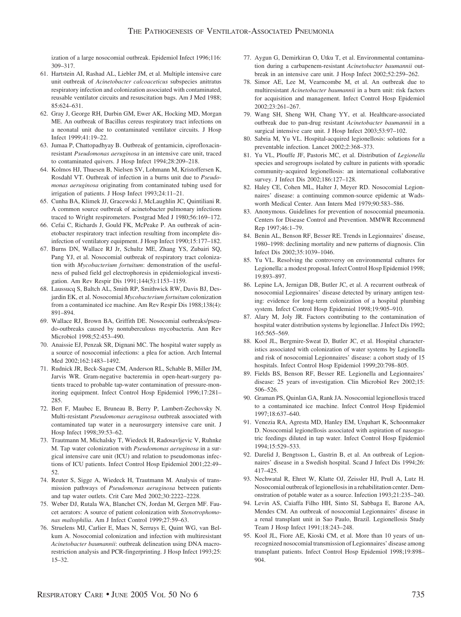ization of a large nosocomial outbreak. Epidemiol Infect 1996;116: 309–317.

- 61. Hartstein AI, Rashad AL, Liebler JM, et al. Multiple intensive care unit outbreak of *Acinetobacter calcoaceticus* subspecies anitratus respiratory infection and colonization associated with contaminated, reusable ventilator circuits and resuscitation bags. Am J Med 1988; 85:624–631.
- 62. Gray J, George RH, Durbin GM, Ewer AK, Hocking MD, Morgan ME. An outbreak of Bacillus cereus respiratory tract infections on a neonatal unit due to contaminated ventilator circuits. J Hosp Infect 1999;41:19–22.
- 63. Jumaa P, Chattopadhyay B. Outbreak of gentamicin, ciprofloxacinresistant *Pseudomonas aeruginosa* in an intensive care unit, traced to contaminated quivers. J Hosp Infect 1994;28:209–218.
- 64. Kolmos HJ, Thuesen B, Nielsen SV, Lohmann M, Kristoffersen K, Rosdahl VT. Outbreak of infection in a burns unit due to *Pseudomonas aeruginosa* originating from contaminated tubing used for irrigation of patients. J Hosp Infect 1993;24:11–21.
- 65. Cunha BA, Klimek JJ, Gracewski J, McLaughlin JC, Quintiliani R. A common source outbreak of acinetobacter pulmonary infections traced to Wright respirometers. Postgrad Med J 1980;56:169–172.
- 66. Cefai C, Richards J, Gould FK, McPeake P. An outbreak of acinetobacter respiratory tract infection resulting from incomplete disinfection of ventilatory equipment. J Hosp Infect 1990;15:177–182.
- 67. Burns DN, Wallace RJ Jr, Schultz ME, Zhang YS, Zubairi SQ, Pang YJ, et al. Nosocomial outbreak of respiratory tract colonization with *Mycobacterium fortuitum*: demonstration of the usefulness of pulsed field gel electrophoresis in epidemiological investigation. Am Rev Respir Dis 1991;144(5):1153–1159.
- 68. Laussucq S, Baltch AL, Smith RP, Smithwick RW, Davis BJ, Desjardin EK, et al. Nosocomial *Mycobacterium fortuitum* colonization from a contaminated ice machine. Am Rev Respir Dis 1988;138(4): 891–894.
- 69. Wallace RJ, Brown BA, Griffith DE. Nosocomial outbreaks/pseudo-outbreaks caused by nontuberculous mycobacteria. Ann Rev Microbiol 1998;52:453–490.
- 70. Anaissie EJ, Penzak SR, Dignani MC. The hospital water supply as a source of nosocomial infections: a plea for action. Arch Internal Med 2002;162:1483–1492.
- 71. Rudnick JR, Beck-Sague CM, Anderson RL, Schable B, Miller JM, Jarvis WR. Gram-negative bacteremia in open-heart-surgery patients traced to probable tap-water contamination of pressure-monitoring equipment. Infect Control Hosp Epidemiol 1996;17:281– 285.
- 72. Bert F, Maubec E, Bruneau B, Berry P, Lambert-Zechovsky N. Multi-resistant *Pseudomonas aeruginosa* outbreak associated with contaminated tap water in a neurosurgery intensive care unit. J Hosp Infect 1998;39:53–62.
- 73. Trautmann M, Michalsky T, Wiedeck H, Radosavljevic V, Ruhnke M. Tap water colonization with *Pseudomonas aeruginosa* in a surgical intensive care unit (ICU) and relation to pseudomonas infections of ICU patients. Infect Control Hosp Epidemiol 2001;22:49– 52.
- 74. Reuter S, Sigge A, Wiedeck H, Trautmann M. Analysis of transmission pathways of *Pseudomonas aeruginosa* between patients and tap water outlets. Crit Care Med 2002;30:2222–2228.
- 75. Weber DJ, Rutala WA, Blanchet CN, Jordan M, Gergen MF. Faucet aerators: A source of patient colonization with *Stenotrophomonas maltophilia*. Am J Infect Control 1999;27:59–63.
- 76. Struelens MJ, Carlier E, Maes N, Serruys E, Quint WG, van Belkum A. Nosocomial colonization and infection with multiresistant *Acinetobacter baumannii*: outbreak delineation using DNA macrorestriction analysis and PCR-fingerprinting. J Hosp Infect 1993;25: 15–32.
- 77. Aygun G, Demirkiran O, Utku T, et al. Environmental contamination during a carbapenem-resistant *Acinetobacter baumannii* outbreak in an intensive care unit. J Hosp Infect 2002;52:259–262.
- 78. Simor AE, Lee M, Vearncombe M, et al. An outbreak due to multiresistant *Acinetobacter baumannii* in a burn unit: risk factors for acquisition and management. Infect Control Hosp Epidemiol 2002;23:261–267.
- 79. Wang SH, Sheng WH, Chang YY, et al. Healthcare-associated outbreak due to pan-drug resistant *Acinetobacter baumannii* in a surgical intensive care unit. J Hosp Infect 2003;53:97–102.
- 80. Sabria M, Yu VL. Hospital-acquired legionellosis: solutions for a preventable infection. Lancet 2002;2:368–373.
- 81. Yu VL, Plouffe JF, Pastoris MC, et al. Distribution of *Legionella* species and serogroups isolated by culture in patients with sporadic community-acquired legionellosis: an international collaborative survey. J Infect Dis 2002;186:127–128.
- 82. Haley CE, Cohen ML, Halter J, Meyer RD. Nosocomial Legionnaires' disease: a continuing common-source epidemic at Wadsworth Medical Center. Ann Intern Med 1979;90:583–586.
- 83. Anonymous. Guidelines for prevention of nosocomial pneumonia. Centers for Disease Control and Prevention. MMWR Recommend Rep 1997;46:1–79.
- 84. Benin AL, Benson RF, Besser RE. Trends in Legionnaires' disease, 1980–1998: declining mortality and new patterns of diagnosis. Clin Infect Dis 2002;35:1039–1046.
- 85. Yu VL. Resolving the controversy on environmental cultures for Legionella: a modest proposal. Infect Control Hosp Epidemiol 1998; 19:893–897.
- 86. Lepine LA, Jernigan DB, Butler JC, et al. A recurrent outbreak of nosocomial Legionnaires' disease detected by urinary antigen testing: evidence for long-term colonization of a hospital plumbing system. Infect Control Hosp Epidemiol 1998;19:905–910.
- 87. Alary M, Joly JR. Factors contributing to the contamination of hospital water distribution systems by legionellae. J Infect Dis 1992; 165:565–569.
- 88. Kool JL, Bergmire-Sweat D, Butler JC, et al. Hospital characteristics associated with colonization of water systems by Legionella and risk of nosocomial Legionnaires' disease: a cohort study of 15 hospitals. Infect Control Hosp Epidemiol 1999;20:798–805.
- 89. Fields BS, Benson RF, Besser RE. Legionella and Legionnaires' disease: 25 years of investigation. Clin Microbiol Rev 2002;15: 506–526.
- 90. Graman PS, Quinlan GA, Rank JA. Nosocomial legionellosis traced to a contaminated ice machine. Infect Control Hosp Epidemiol 1997;18:637–640.
- 91. Venezia RA, Agresta MD, Hanley EM, Urquhart K, Schoonmaker D. Nosocomial legionellosis associated with aspiration of nasogastric feedings diluted in tap water. Infect Control Hosp Epidemiol 1994;15:529–533.
- 92. Darelid J, Bengtsson L, Gastrin B, et al. An outbreak of Legionnaires' disease in a Swedish hospital. Scand J Infect Dis 1994;26: 417–425.
- 93. Nechwatal R, Ehret W, Klatte OJ, Zeissler HJ, Prull A, Lutz H. Nosocomial outbreak of legionellosis in a rehabilitation center. Demonstration of potable water as a source. Infection 1993;21:235–240.
- 94. Levin AS, Caiaffa Filho HH, Sinto SI, Sabbaga E, Barone AA, Mendes CM. An outbreak of nosocomial Legionnaires' disease in a renal transplant unit in Sao Paulo, Brazil. Legionellosis Study Team J Hosp Infect 1991;18:243–248.
- 95. Kool JL, Fiore AE, Kioski CM, et al. More than 10 years of unrecognized nosocomial transmission of Legionnaires' disease among transplant patients. Infect Control Hosp Epidemiol 1998;19:898– 904.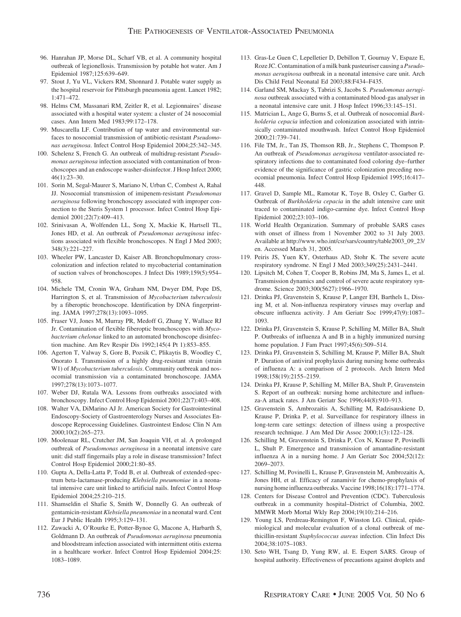- 96. Hanrahan JP, Morse DL, Scharf VB, et al. A community hospital outbreak of legionellosis. Transmission by potable hot water. Am J Epidemiol 1987;125:639–649.
- 97. Stout J, Yu VL, Vickers RM, Shonnard J. Potable water supply as the hospital reservoir for Pittsburgh pneumonia agent. Lancet 1982; 1:471–472.
- 98. Helms CM, Massanari RM, Zeitler R, et al. Legionnaires' disease associated with a hospital water system: a cluster of 24 nosocomial cases. Ann Intern Med 1983;99:172–178.
- 99. Muscarella LF. Contribution of tap water and environmental surfaces to nosocomial transmission of antibiotic-resistant *Pseudomonas aeruginosa*. Infect Control Hosp Epidemiol 2004;25:342–345.
- 100. Schelenz S, French G. An outbreak of multidrug-resistant *Pseudomonas aeruginosa* infection associated with contamination of bronchoscopes and an endoscope washer-disinfector. J Hosp Infect 2000; 46(1):23–30.
- 101. Sorin M, Segal-Maurer S, Mariano N, Urban C, Combest A, Rahal JJ. Nosocomial transmission of imipenem-resistant *Pseudomonas aeruginosa* following bronchoscopy associated with improper connection to the Steris System 1 processor. Infect Control Hosp Epidemiol 2001;22(7):409–413.
- 102. Srinivasan A, Wolfenden LL, Song X, Mackie K, Hartsell TL, Jones HD, et al. An outbreak of *Pseudomonas aeruginosa* infections associated with flexible bronchoscopes. N Engl J Med 2003; 348(3):221–227.
- 103. Wheeler PW, Lancaster D, Kaiser AB. Bronchopulmonary crosscolonization and infection related to mycobacterial contamination of suction valves of bronchoscopes. J Infect Dis 1989;159(5):954– 958.
- 104. Michele TM, Cronin WA, Graham NM, Dwyer DM, Pope DS, Harrington S, et al. Transmission of *Mycobacterium tuberculosis* by a fiberoptic bronchoscope. Identification by DNA fingerprinting. JAMA 1997;278(13):1093–1095.
- 105. Fraser VJ, Jones M, Murray PR, Medoff G, Zhang Y, Wallace RJ Jr. Contamination of flexible fiberoptic bronchoscopes with *Mycobacterium chelonae* linked to an automated bronchoscope disinfection machine. Am Rev Respir Dis 1992;145(4 Pt 1):853–855.
- 106. Agerton T, Valway S, Gore B, Pozsik C, Plikaytis B, Woodley C, Onorato I. Transmission of a highly drug-resistant strain (strain W1) of *Mycobacterium tuberculosis*. Community outbreak and nosocomial transmission via a contaminated bronchoscope. JAMA 1997;278(13):1073–1077.
- 107. Weber DJ, Rutala WA. Lessons from outbreaks associated with bronchoscopy. Infect Control Hosp Epidemiol 2001;22(7):403–408.
- 108. Walter VA, DiMarino AJ Jr. American Society for Gastrointestinal Endoscopy-Society of Gastroenterology Nurses and Associates Endoscope Reprocessing Guidelines. Gastrointest Endosc Clin N Am 2000;10(2):265–273.
- 109. Moolenaar RL, Crutcher JM, San Joaquin VH, et al. A prolonged outbreak of *Pseudomonas aeruginosa* in a neonatal intensive care unit: did staff fingernails play a role in disease transmission? Infect Control Hosp Epidemiol 2000;21:80–85.
- 110. Gupta A, Della-Latta P, Todd B, et al. Outbreak of extended-spectrum beta-lactamase-producing *Klebsiella pneumoniae* in a neonatal intensive care unit linked to artificial nails. Infect Control Hosp Epidemiol 2004;25:210–215.
- 111. Shamseldin el Shafie S, Smith W, Donnelly G. An outbreak of gentamicin-resistant *Klebsiella pneumoniae* in a neonatal ward. Cent Eur J Public Health 1995;3:129–131.
- 112. Zawacki A, O'Rourke E, Potter-Bynoe G, Macone A, Harbarth S, Goldmann D. An outbreak of *Pseudomonas aeruginosa* pneumonia and bloodstream infection associated with intermittent otitis externa in a healthcare worker. Infect Control Hosp Epidemiol 2004;25: 1083–1089.
- 113. Gras-Le Guen C, Lepelletier D, Debillon T, Gournay V, Espaze E, Roze JC. Contamination of a milk bank pasteuriser causing a *Pseudomonas aeruginosa* outbreak in a neonatal intensive care unit. Arch Dis Child Fetal Neonatal Ed 2003;88:F434–F435.
- 114. Garland SM, Mackay S, Tabrizi S, Jacobs S. *Pseudomonas aeruginosa* outbreak associated with a contaminated blood-gas analyser in a neonatal intensive care unit. J Hosp Infect 1996;33:145–151.
- 115. Matrician L, Ange G, Burns S, et al. Outbreak of nosocomial *Burkholderia cepacia* infection and colonization associated with intrinsically contaminated mouthwash. Infect Control Hosp Epidemiol 2000;21:739–741.
- 116. File TM, Jr., Tan JS, Thomson RB, Jr., Stephens C, Thompson P. An outbreak of *Pseudomonas aeruginosa* ventilator-associated respiratory infections due to contaminated food coloring dye–further evidence of the significance of gastric colonization preceding nosocomial pneumonia. Infect Control Hosp Epidemiol 1995;16:417– 448.
- 117. Gravel D, Sample ML, Ramotar K, Toye B, Oxley C, Garber G. Outbreak of *Burkholderia cepacia* in the adult intensive care unit traced to contaminated indigo-carmine dye. Infect Control Hosp Epidemiol 2002;23:103–106.
- 118. World Health Organization. Summary of probable SARS cases with onset of illness from 1 November 2002 to 31 July 2003. Available at http://www.who.int/csr/sars/country/table2003\_09\_23/ en. Accessed March 31, 2005.
- 119. Peiris JS, Yuen KY, Osterhaus AD, Stohr K. The severe acute respiratory syndrome. N Engl J Med 2003;349(25):2431–2441.
- 120. Lipsitch M, Cohen T, Cooper B, Robins JM, Ma S, James L, et al. Transmission dynamics and control of severe acute respiratory syndrome. Science 2003;300(5627):1966–1970.
- 121. Drinka PJ, Gravenstein S, Krause P, Langer EH, Barthels L, Dissing M, et al. Non-influenza respiratory viruses may overlap and obscure influenza activity. J Am Geriatr Soc 1999;47(9):1087– 1093.
- 122. Drinka PJ, Gravenstein S, Krause P, Schilling M, Miller BA, Shult P. Outbreaks of influenza A and B in a highly immunized nursing home population. J Fam Pract 1997;45(6):509–514.
- 123. Drinka PJ, Gravenstein S, Schilling M, Krause P, Miller BA, Shult P. Duration of antiviral prophylaxis during nursing home outbreaks of influenza A: a comparison of 2 protocols. Arch Intern Med 1998;158(19):2155–2159.
- 124. Drinka PJ, Krause P, Schilling M, Miller BA, Shult P, Gravenstein S. Report of an outbreak: nursing home architecture and influenza-A attack rates. J Am Geriatr Soc 1996;44(8):910–913.
- 125. Gravenstein S, Ambrozaitis A, Schilling M, Radzisauskiene D, Krause P, Drinka P, et al. Surveillance for respiratory illness in long-term care settings: detection of illness using a prospective research technique. J Am Med Dir Assoc 2000;1(3):122–128.
- 126. Schilling M, Gravenstein S, Drinka P, Cox N, Krause P, Povinelli L, Shult P. Emergence and transmission of amantadine-resistant influenza A in a nursing home. J Am Geriatr Soc 2004;52(12): 2069–2073.
- 127. Schilling M, Povinelli L, Krause P, Gravenstein M, Ambrozaitis A, Jones HH, et al. Efficacy of zanamivir for chemo-prophylaxis of nursing home influenza outbreaks. Vaccine 1998;16(18):1771–1774.
- 128. Centers for Disease Control and Prevention (CDC). Tuberculosis outbreak in a community hospital–District of Columbia, 2002. MMWR Morb Mortal Wkly Rep 2004;19(10):214–216.
- 129. Young LS, Perdreau-Remington F, Winston LG. Clinical, epidemiological and molecular evaluation of a clonal outbreak of methicillin-resistant *Staphylococcus aureus* infection. Clin Infect Dis 2004;38:1075–1083.
- 130. Seto WH, Tsang D, Yung RW, al. E. Expert SARS. Group of hospital authority. Effectiveness of precautions against droplets and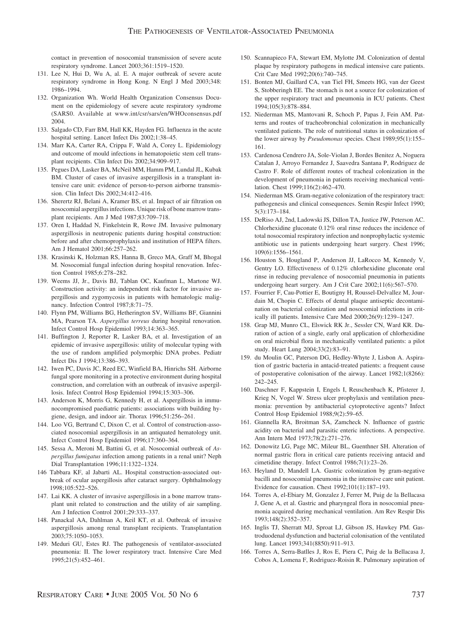contact in prevention of nosocomial transmission of severe acute respiratory syndrome. Lancet 2003;361:1519–1520.

- 131. Lee N, Hui D, Wu A, al. E. A major outbreak of severe acute respiratory syndrome in Hong Kong. N Engl J Med 2003;348: 1986–1994.
- 132. Organization Wh. World Health Organization Consensus Document on the epidemiology of severe acute respiratory syndrome (SARS0. Available at www.int/csr/sars/en/WHOconsensus.pdf 2004.
- 133. Salgado CD, Farr BM, Hall KK, Hayden FG. Influenza in the acute hospital setting. Lancet Infect Dis 2002;1:38–45.
- 134. Marr KA, Carter RA, Crippa F, Wald A, Corey L. Epidemiology and outcome of mould infections in hematopoietic stem cell transplant recipients. Clin Infect Dis 2002;34:909–917.
- 135. Pegues DA, Lasker BA, McNeil MM, Hamm PM, Lundal JL, Kubak BM. Cluster of cases of invasive aspergillosis in a transplant intensive care unit: evidence of person-to-person airborne transmission. Clin Infect Dis 2002;34:412–416.
- 136. Sherertz RJ, Belani A, Kramer BS, et al. Impact of air filtration on nosocomial aspergillus infections. Unique risk of bone marrow transplant recipients. Am J Med 1987;83:709–718.
- 137. Oren I, Haddad N, Finkelstein R, Rowe JM. Invasive pulmonary aspergillosis in neutropenic patients during hospital construction: before and after chemoprophylaxis and institution of HEPA filters. Am J Hematol 2001;66:257–262.
- 138. Krasinski K, Holzman RS, Hanna B, Greco MA, Graff M, Bhogal M. Nosocomial fungal infection during hospital renovation. Infection Control 1985;6:278–282.
- 139. Weems JJ, Jr., Davis BJ, Tablan OC, Kaufman L, Martone WJ. Construction activity: an independent risk factor for invasive aspergillosis and zygomycosis in patients with hematologic malignancy. Infection Control 1987;8:71–75.
- 140. Flynn PM, Williams BG, Hetherington SV, Williams BF, Giannini MA, Pearson TA. *Aspergillus terreus* during hospital renovation. Infect Control Hosp Epidemiol 1993;14:363–365.
- 141. Buffington J, Reporter R, Lasker BA, et al. Investigation of an epidemic of invasive aspergillosis: utility of molecular typing with the use of random amplified polymorphic DNA probes. Pediatr Infect Dis J 1994;13:386–393.
- 142. Iwen PC, Davis JC, Reed EC, Winfield BA, Hinrichs SH. Airborne fungal spore monitoring in a protective environment during hospital construction, and correlation with an outbreak of invasive aspergillosis. Infect Control Hosp Epidemiol 1994;15:303–306.
- 143. Anderson K, Morris G, Kennedy H, et al. Aspergillosis in immunocompromised paediatric patients: associations with building hygiene, design, and indoor air. Thorax 1996;51:256–261.
- 144. Loo VG, Bertrand C, Dixon C, et al. Control of construction-associated nosocomial aspergillosis in an antiquated hematology unit. Infect Control Hosp Epidemiol 1996;17:360–364.
- 145. Sessa A, Meroni M, Battini G, et al. Nosocomial outbreak of *Aspergillus fumigatus* infection among patients in a renal unit? Neph Dial Transplantation 1996;11:1322–1324.
- 146 Tabbara KF, al Jabarti AL. Hospital construction-associated outbreak of ocular aspergillosis after cataract surgery. Ophthalmology 1998;105:522–526.
- 147. Lai KK. A cluster of invasive aspergillosis in a bone marrow transplant unit related to construction and the utility of air sampling. Am J Infection Control 2001;29:333–337.
- 148. Panackal AA, Dahlman A, Keil KT, et al. Outbreak of invasive aspergillosis among renal transplant recipients. Transplantation 2003;75:1050–1053.
- 149. Meduri GU, Estes RJ. The pathogenesis of ventilator-associated pneumonia: II. The lower respiratory tract. Intensive Care Med 1995;21(5):452–461.
- 150. Scannapieco FA, Stewart EM, Mylotte JM. Colonization of dental plaque by respiratory pathogens in medical intensive care patients. Crit Care Med 1992;20(6):740–745.
- 151. Bonten MJ, Gaillard CA, van Tiel FH, Smeets HG, van der Geest S, Stobberingh EE. The stomach is not a source for colonization of the upper respiratory tract and pneumonia in ICU patients. Chest 1994;105(3):878–884.
- 152. Niederman MS, Mantovani R, Schoch P, Papas J, Fein AM. Patterns and routes of tracheobronchial colonization in mechanically ventilated patients. The role of nutritional status in colonization of the lower airway by *Pseudomonas* species. Chest 1989;95(1):155– 161.
- 153. Cardenosa Cendrero JA, Sole-Violan J, Bordes Benitez A, Noguera Catalan J, Arroyo Fernandez J, Saavedra Santana P, Rodriguez de Castro F. Role of different routes of tracheal colonization in the development of pneumonia in patients receiving mechanical ventilation. Chest 1999;116(2):462–470.
- 154. Niederman MS. Gram-negative colonization of the respiratory tract: pathogenesis and clinical consequences. Semin Respir Infect 1990; 5(3):173–184.
- 155. DeRiso AJ, 2nd, Ladowski JS, Dillon TA, Justice JW, Peterson AC. Chlorhexidine gluconate 0.12% oral rinse reduces the incidence of total nosocomial respiratory infection and nonprophylactic systemic antibiotic use in patients undergoing heart surgery. Chest 1996; 109(6):1556–1561.
- 156. Houston S, Hougland P, Anderson JJ, LaRocco M, Kennedy V, Gentry LO. Effectiveness of 0.12% chlorhexidine gluconate oral rinse in reducing prevalence of nosocomial pneumonia in patients undergoing heart surgery. Am J Crit Care 2002;11(6):567–570.
- 157. Fourrier F, Cau-Pottier E, Boutigny H, Roussel-Delvallez M, Jourdain M, Chopin C. Effects of dental plaque antiseptic decontamination on bacterial colonization and nosocomial infections in critically ill patients. Intensive Care Med 2000;26(9):1239–1247.
- 158. Grap MJ, Munro CL, Elswick RK Jr., Sessler CN, Ward KR. Duration of action of a single, early oral application of chlorhexidine on oral microbial flora in mechanically ventilated patients: a pilot study. Heart Lung 2004;33(2):83–91.
- 159. du Moulin GC, Paterson DG, Hedley-Whyte J, Lisbon A. Aspiration of gastric bacteria in antacid-treated patients: a frequent cause of postoperative colonisation of the airway. Lancet 1982;1(8266): 242–245.
- 160. Daschner F, Kappstein I, Engels I, Reuschenbach K, Pfisterer J, Krieg N, Vogel W. Stress ulcer prophylaxis and ventilation pneumonia: prevention by antibacterial cytoprotective agents? Infect Control Hosp Epidemiol 1988;9(2):59–65.
- 161. Giannella RA, Broitman SA, Zamcheck N. Influence of gastric acidity on bacterial and parasitic enteric infections. A perspective. Ann Intern Med 1973;78(2):271–276.
- 162. Donowitz LG, Page MC, Mileur BL, Guenthner SH. Alteration of normal gastric flora in critical care patients receiving antacid and cimetidine therapy. Infect Control 1986;7(1):23–26.
- 163. Heyland D, Mandell LA. Gastric colonization by gram-negative bacilli and nosocomial pneumonia in the intensive care unit patient. Evidence for causation. Chest 1992;101(1):187–193.
- 164. Torres A, el-Ebiary M, Gonzalez J, Ferrer M, Puig de la Bellacasa J, Gene A, et al. Gastric and pharyngeal flora in nosocomial pneumonia acquired during mechanical ventilation. Am Rev Respir Dis 1993;148(2):352–357.
- 165. Inglis TJ, Sherratt MJ, Sproat LJ, Gibson JS, Hawkey PM. Gastroduodenal dysfunction and bacterial colonisation of the ventilated lung. Lancet 1993;341(8850):911–913.
- 166. Torres A, Serra-Batlles J, Ros E, Piera C, Puig de la Bellacasa J, Cobos A, Lomena F, Rodriguez-Roisin R. Pulmonary aspiration of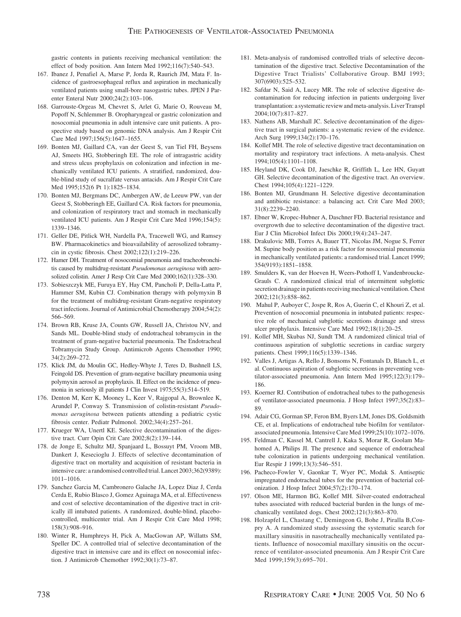gastric contents in patients receiving mechanical ventilation: the effect of body position. Ann Intern Med 1992;116(7):540–543.

- 167. Ibanez J, Penafiel A, Marse P, Jorda R, Raurich JM, Mata F. Incidence of gastroesophageal reflux and aspiration in mechanically ventilated patients using small-bore nasogastric tubes. JPEN J Parenter Enteral Nutr 2000;24(2):103–106.
- 168. Garrouste-Orgeas M, Chevret S, Arlet G, Marie O, Rouveau M, Popoff N, Schlemmer B. Oropharyngeal or gastric colonization and nosocomial pneumonia in adult intensive care unit patients. A prospective study based on genomic DNA analysis. Am J Respir Crit Care Med 1997;156(5):1647–1655.
- 169. Bonten MJ, Gaillard CA, van der Geest S, van Tiel FH, Beysens AJ, Smeets HG, Stobberingh EE. The role of intragastric acidity and stress ulcus prophylaxis on colonization and infection in mechanically ventilated ICU patients. A stratified, randomized, double-blind study of sucralfate versus antacids. Am J Respir Crit Care Med 1995;152(6 Pt 1):1825–1834.
- 170. Bonten MJ, Bergmans DC, Ambergen AW, de Leeuw PW, van der Geest S, Stobberingh EE, Gaillard CA. Risk factors for pneumonia, and colonization of respiratory tract and stomach in mechanically ventilated ICU patients. Am J Respir Crit Care Med 1996;154(5): 1339–1346.
- 171. Geller DE, Pitlick WH, Nardella PA, Tracewell WG, and Ramsey BW. Pharmacokinetics and bioavailability of aerosolized tobramycin in cystic fibrosis. Chest 2002;122(1):219–226.
- 172. Hamer DH. Treatment of nosocomial pneumonia and tracheobronchitis caused by multidrug-resistant *Pseudomonas aeruginosa* with aerosolized colistin. Amer J Resp Crit Care Med 2000;162(1):328–330.
- 173. Sobieszczyk ME, Furuya EY, Hay CM, Pancholi P, Della-Latta P, Hammer SM, Kubin CJ. Combination therapy with polymyxin B for the treatment of multidrug-resistant Gram-negative respiratory tract infections. Journal of Antimicrobial Chemotherapy 2004;54(2): 566–569.
- 174. Brown RB, Kruse JA, Counts GW, Russell JA, Christou NV, and Sands ML. Double-blind study of endotracheal tobramycin in the treatment of gram-negative bacterial pneumonia. The Endotracheal Tobramycin Study Group. Antimicrob Agents Chemother 1990; 34(2):269–272.
- 175. Klick JM, du Moulin GC, Hedley-Whyte J, Teres D, Bushnell LS, Feingold DS. Prevention of gram-negative bacillary pneumonia using polymyxin aerosol as prophylaxis. II. Effect on the incidence of pneumonia in seriously ill patients J Clin Invest 1975;55(3):514–519.
- 176. Denton M, Kerr K, Mooney L, Keer V, Rajgopal A, Brownlee K, Arundel P, Conway S. Transmission of colistin-resistant *Pseudomonas aeruginosa* between patients attending a pediatric cystic fibrosis center. Pediatr Pulmonol. 2002;34(4):257–261.
- 177. Krueger WA, Unertl KE. Selective decontamination of the digestive tract. Curr Opin Crit Care 2002;8(2):139–144.
- 178. de Jonge E, Schultz MJ, Spanjaard L, Bossuyt PM, Vroom MB, Dankert J, Kesecioglu J. Effects of selective decontamination of digestive tract on mortality and acquisition of resistant bacteria in intensive care: a randomised controlled trial. Lancet 2003;362(9389): 1011–1016.
- 179. Sanchez Garcia M, Cambronero Galache JA, Lopez Diaz J, Cerda Cerda E, Rubio Blasco J, Gomez Aguinaga MA, et al. Effectiveness and cost of selective decontamination of the digestive tract in critically ill intubated patients. A randomized, double-blind, placebocontrolled, multicenter trial. Am J Respir Crit Care Med 1998; 158(3):908–916.
- 180. Winter R, Humphreys H, Pick A, MacGowan AP, Willatts SM, Speller DC. A controlled trial of selective decontamination of the digestive tract in intensive care and its effect on nosocomial infection. J Antimicrob Chemother 1992;30(1):73–87.
- 181. Meta-analysis of randomised controlled trials of selective decontamination of the digestive tract. Selective Decontamination of the Digestive Tract Trialists' Collaborative Group. BMJ 1993; 307(6903):525–532.
- 182. Safdar N, Said A, Lucey MR. The role of selective digestive decontamination for reducing infection in patients undergoing liver transplantation: a systematic review and meta-analysis. Liver Transpl 2004;10(7):817–827.
- 183. Nathens AB, Marshall JC. Selective decontamination of the digestive tract in surgical patients: a systematic review of the evidence. Arch Surg 1999;134(2):170–176.
- 184. Kollef MH. The role of selective digestive tract decontamination on mortality and respiratory tract infections. A meta-analysis. Chest 1994;105(4):1101–1108.
- 185. Heyland DK, Cook DJ, Jaeschke R, Griffith L, Lee HN, Guyatt GH. Selective decontamination of the digestive tract. An overview. Chest 1994;105(4):1221–1229.
- 186. Bonten MJ, Grundmann H. Selective digestive decontamination and antibiotic resistance: a balancing act. Crit Care Med 2003; 31(8):2239–2240.
- 187. Ebner W, Kropec-Hubner A, Daschner FD. Bacterial resistance and overgrowth due to selective decontamination of the digestive tract. Eur J Clin Microbiol Infect Dis 2000;19(4):243–247.
- 188. Drakulovic MB, Torres A, Bauer TT, Nicolas JM, Nogue S, Ferrer M. Supine body position as a risk factor for nosocomial pneumonia in mechanically ventilated patients: a randomised trial. Lancet 1999; 354(9193):1851–1858.
- 189. Smulders K, van der Hoeven H, Weers-Pothoff I, Vandenbroucke-Grauls C. A randomized clinical trial of intermittent subglottic secretion drainage in patients receiving mechanical ventilation. Chest 2002;121(3):858–862.
- 190. Mahul P, Auboyer C, Jospe R, Ros A, Guerin C, el Khouri Z, et al. Prevention of nosocomial pneumonia in intubated patients: respective role of mechanical subglottic secretions drainage and stress ulcer prophylaxis. Intensive Care Med 1992;18(1):20–25.
- 191. Kollef MH, Skubas NJ, Sundt TM. A randomized clinical trial of continuous aspiration of subglottic secretions in cardiac surgery patients. Chest 1999;116(5):1339–1346.
- 192. Valles J, Artigas A, Rello J, Bonsoms N, Fontanals D, Blanch L, et al. Continuous aspiration of subglottic secretions in preventing ventilator-associated pneumonia. Ann Intern Med 1995;122(3):179– 186.
- 193. Koerner RJ. Contribution of endotracheal tubes to the pathogenesis of ventilator-associated pneumonia. J Hosp Infect 1997;35(2):83– 89.
- 194. Adair CG, Gorman SP, Feron BM, Byers LM, Jones DS, Goldsmith CE, et al. Implications of endotracheal tube biofilm for ventilatorassociated pneumonia. Intensive Care Med 1999;25(10):1072–1076.
- 195. Feldman C, Kassel M, Cantrell J, Kaka S, Morar R, Goolam Mahomed A, Philips JI. The presence and sequence of endotracheal tube colonization in patients undergoing mechanical ventilation. Eur Respir J 1999;13(3):546–551.
- 196. Pacheco-Fowler V, Gaonkar T, Wyer PC, Modak S. Antiseptic impregnated endotracheal tubes for the prevention of bacterial colonization. J Hosp Infect 2004;57(2):170–174.
- 197. Olson ME, Harmon BG, Kollef MH. Silver-coated endotracheal tubes associated with reduced bacterial burden in the lungs of mechanically ventilated dogs. Chest 2002;121(3):863–870.
- 198. Holzapfel L, Chastang C, Demingeon G, Bohe J, Piralla B,Coupry A. A randomized study assessing the systematic search for maxillary sinusitis in nasotracheally mechanically ventilated patients. Influence of nosocomial maxillary sinusitis on the occurrence of ventilator-associated pneumonia. Am J Respir Crit Care Med 1999;159(3):695-701.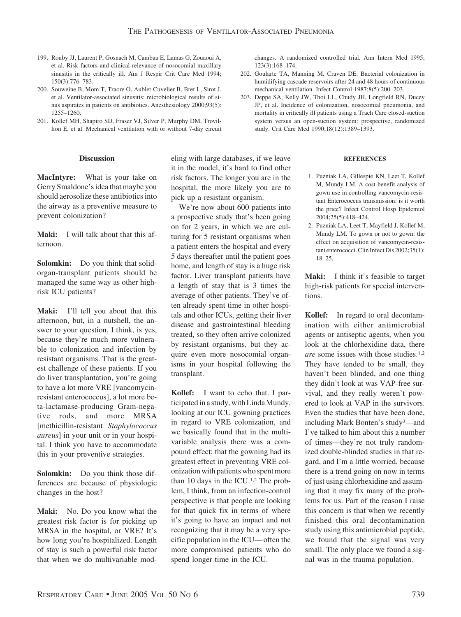- 199. Rouby JJ, Laurent P, Gosnach M, Cambau E, Lamas G, Zouaoui A, et al. Risk factors and clinical relevance of nosocomial maxillary sinusitis in the critically ill. Am J Respir Crit Care Med 1994; 150(3):776–783.
- 200. Souweine B, Mom T, Traore O, Aublet-Cuvelier B, Bret L, Sirot J, et al. Ventilator-associated sinusitis: microbiological results of sinus aspirates in patients on antibiotics. Anesthesiology 2000;93(5): 1255–1260.
- 201. Kollef MH, Shapiro SD, Fraser VJ, Silver P, Murphy DM, Trovillion E, et al. Mechanical ventilation with or without 7-day circuit

## **Discussion**

**MacIntyre:** What is your take on Gerry Smaldone's idea that maybe you should aerosolize these antibiotics into the airway as a preventive measure to prevent colonization?

**Maki:** I will talk about that this afternoon.

**Solomkin:** Do you think that solidorgan-transplant patients should be managed the same way as other highrisk ICU patients?

**Maki:** I'll tell you about that this afternoon, but, in a nutshell, the answer to your question, I think, is yes, because they're much more vulnerable to colonization and infection by resistant organisms. That is the greatest challenge of these patients. If you do liver transplantation, you're going to have a lot more VRE [vancomycinresistant enterococcus], a lot more beta-lactamase-producing Gram-negative rods, and more MRSA [methicillin-resistant *Staphylococcus aureus*] in your unit or in your hospital. I think you have to accommodate this in your preventive strategies.

**Solomkin:** Do you think those differences are because of physiologic changes in the host?

**Maki:** No. Do you know what the greatest risk factor is for picking up MRSA in the hospital, or VRE? It's how long you're hospitalized. Length of stay is such a powerful risk factor that when we do multivariable modeling with large databases, if we leave it in the model, it's hard to find other risk factors. The longer you are in the hospital, the more likely you are to pick up a resistant organism.

We're now about 600 patients into a prospective study that's been going on for 2 years, in which we are culturing for 5 resistant organisms when a patient enters the hospital and every 5 days thereafter until the patient goes home, and length of stay is a huge risk factor. Liver transplant patients have a length of stay that is 3 times the average of other patients. They've often already spent time in other hospitals and other ICUs, getting their liver disease and gastrointestinal bleeding treated, so they often arrive colonized by resistant organisms, but they acquire even more nosocomial organisms in your hospital following the transplant.

**Kollef:** I want to echo that. I participated in a study, with Linda Mundy, looking at our ICU gowning practices in regard to VRE colonization, and we basically found that in the multivariable analysis there was a compound effect: that the gowning had its greatest effect in preventing VRE colonization with patients who spent more than 10 days in the ICU.1,2 The problem, I think, from an infection-control perspective is that people are looking for that quick fix in terms of where it's going to have an impact and not recognizing that it may be a very specific population in the ICU— often the more compromised patients who do spend longer time in the ICU.

changes. A randomized controlled trial. Ann Intern Med 1995; 123(3):168–174.

- 202. Goularte TA, Manning M, Craven DE. Bacterial colonization in humidifying cascade reservoirs after 24 and 48 hours of continuous mechanical ventilation. Infect Control 1987;8(5):200–203.
- 203. Deppe SA, Kelly JW, Thoi LL, Chudy JH, Longfield RN, Ducey JP, et al. Incidence of colonization, nosocomial pneumonia, and mortality in critically ill patients using a Trach Care closed-suction system versus an open-suction system: prospective, randomized study. Crit Care Med 1990;18(12):1389–1393.

### **REFERENCES**

- 1. Puzniak LA, Gillespie KN, Leet T, Kollef M, Mundy LM. A cost-benefit analysis of gown use in controlling vancomycin-resistant Enterococcus transmission: is it worth the price? Infect Control Hosp Epidemiol 2004;25(5):418–424.
- 2. Puzniak LA, Leet T, Mayfield J, Kollef M, Mundy LM. To gown or not to gown: the effect on acquisition of vancomycin-resistant enterococci. Clin Infect Dis 2002;35(1): 18–25.

**Maki:** I think it's feasible to target high-risk patients for special interventions.

**Kollef:** In regard to oral decontamination with either antimicrobial agents or antiseptic agents, when you look at the chlorhexidine data, there *are* some issues with those studies.<sup>1,2</sup> They have tended to be small, they haven't been blinded, and one thing they didn't look at was VAP-free survival, and they really weren't powered to look at VAP in the survivors. Even the studies that have been done, including Mark Bonten's study3—and I've talked to him about this a number of times—they're not truly randomized double-blinded studies in that regard, and I'm a little worried, because there is a trend going on now in terms of just using chlorhexidine and assuming that it may fix many of the problems for us. Part of the reason I raise this concern is that when we recently finished this oral decontamination study using this antimicrobial peptide, we found that the signal was very small. The only place we found a signal was in the trauma population.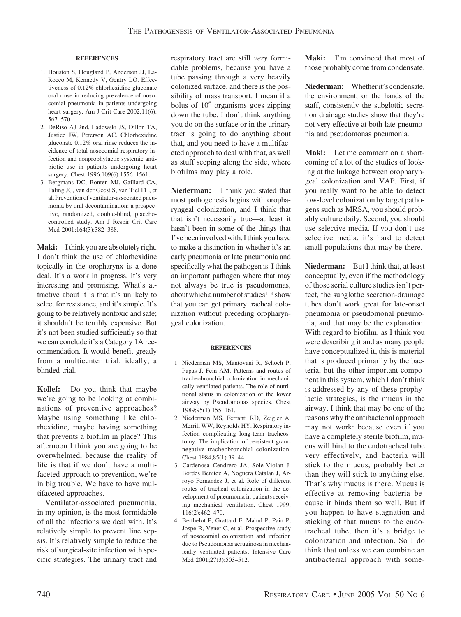## **REFERENCES**

- 1. Houston S, Hougland P, Anderson JJ, La-Rocco M, Kennedy V, Gentry LO. Effectiveness of 0.12% chlorhexidine gluconate oral rinse in reducing prevalence of nosocomial pneumonia in patients undergoing heart surgery. Am J Crit Care 2002;11(6): 567–570.
- 2. DeRiso AJ 2nd, Ladowski JS, Dillon TA, Justice JW, Peterson AC. Chlorhexidine gluconate 0.12% oral rinse reduces the incidence of total nosocomial respiratory infection and nonprophylactic systemic antibiotic use in patients undergoing heart surgery. Chest 1996;109(6):1556-1561.
- 3. Bergmans DC, Bonten MJ, Gaillard CA, Paling JC, van der Geest S, van Tiel FH, et al. Prevention of ventilator-associated pneumonia by oral decontamination: a prospective, randomized, double-blind, placebocontrolled study. Am J Respir Crit Care Med 2001;164(3):382–388.

**Maki:** I think you are absolutely right. I don't think the use of chlorhexidine topically in the oropharynx is a done deal. It's a work in progress. It's very interesting and promising. What's attractive about it is that it's unlikely to select for resistance, and it's simple. It's going to be relatively nontoxic and safe; it shouldn't be terribly expensive. But it's not been studied sufficiently so that we can conclude it's a Category 1A recommendation. It would benefit greatly from a multicenter trial, ideally, a blinded trial.

**Kollef:** Do you think that maybe we're going to be looking at combinations of preventive approaches? Maybe using something like chlorhexidine, maybe having something that prevents a biofilm in place? This afternoon I think you are going to be overwhelmed, because the reality of life is that if we don't have a multifaceted approach to prevention, we're in big trouble. We have to have multifaceted approaches.

Ventilator-associated pneumonia, in my opinion, is the most formidable of all the infections we deal with. It's relatively simple to prevent line sepsis. It's relatively simple to reduce the risk of surgical-site infection with specific strategies. The urinary tract and respiratory tract are still *very* formidable problems, because you have a tube passing through a very heavily colonized surface, and there is the possibility of mass transport. I mean if a bolus of  $10^6$  organisms goes zipping down the tube, I don't think anything you do on the surface or in the urinary tract is going to do anything about that, and you need to have a multifaceted approach to deal with that, as well as stuff seeping along the side, where biofilms may play a role.

**Niederman:** I think you stated that most pathogenesis begins with oropharyngeal colonization, and I think that that isn't necessarily true—at least it hasn't been in some of the things that I've beeninvolved with. Ithink you have to make a distinction in whether it's an early pneumonia or late pneumonia and specifically what the pathogen is. I think an important pathogen where that may not always be true is pseudomonas, about which a number of studies<sup>1-4</sup> show that you can get primary tracheal colonization without preceding oropharyngeal colonization.

## **REFERENCES**

- 1. Niederman MS, Mantovani R, Schoch P, Papas J, Fein AM. Patterns and routes of tracheobronchial colonization in mechanically ventilated patients. The role of nutritional status in colonization of the lower airway by Pseudomonas species. Chest  $1989.95(1):155-161$
- 2. Niederman MS, Ferranti RD, Zeigler A, Merrill WW, Reynolds HY. Respiratory infection complicating long-term tracheostomy. The implication of persistent gramnegative tracheobronchial colonization. Chest 1984;85(1):39–44.
- 3. Cardenosa Cendrero JA, Sole-Violan J, Bordes Benitez A, Noguera Catalan J, Arroyo Fernandez J, et al. Role of different routes of tracheal colonization in the development of pneumonia in patients receiving mechanical ventilation. Chest 1999;  $116(2):462-470.$
- 4. Berthelot P, Grattard F, Mahul P, Pain P, Jospe R, Venet C, et al. Prospective study of nosocomial colonization and infection due to Pseudomonas aeruginosa in mechanically ventilated patients. Intensive Care Med 2001:27(3):503-512.

**Maki:** I'm convinced that most of those probably come from condensate.

**Niederman:** Whether it's condensate, the environment, or the hands of the staff, consistently the subglottic secretion drainage studies show that they're not very effective at both late pneumonia and pseudomonas pneumonia.

**Maki:** Let me comment on a shortcoming of a lot of the studies of looking at the linkage between oropharyngeal colonization and VAP. First, if you really want to be able to detect low-level colonization by target pathogens such as MRSA, you should probably culture daily. Second, you should use selective media. If you don't use selective media, it's hard to detect small populations that may be there.

**Niederman:** But I think that, at least conceptually, even if the methodology of those serial culture studies isn't perfect, the subglottic secretion-drainage tubes don't work great for late-onset pneumonia or pseudomonal pneumonia, and that may be the explanation. With regard to biofilm, as I think you were describing it and as many people have conceptualized it, this is material that is produced primarily by the bacteria, but the other important component in this system, which I don't think is addressed by any of these prophylactic strategies, is the mucus in the airway. I think that may be one of the reasons why the antibacterial approach may not work: because even if you have a completely sterile biofilm, mucus will bind to the endotracheal tube very effectively, and bacteria will stick to the mucus, probably better than they will stick to anything else. That's why mucus is there. Mucus is effective at removing bacteria because it binds them so well. But if you happen to have stagnation and sticking of that mucus to the endotracheal tube, then it's a bridge to colonization and infection. So I do think that unless we can combine an antibacterial approach with some